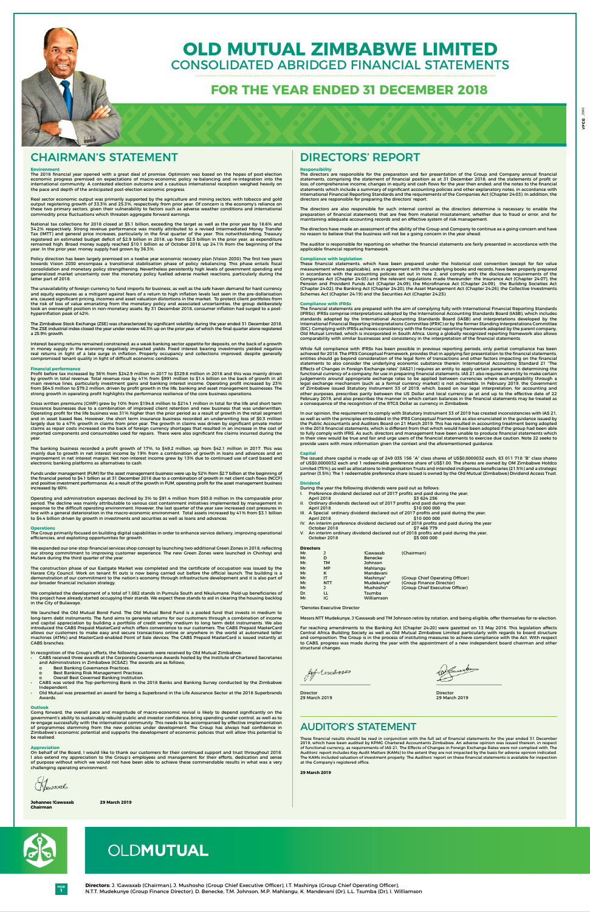**1**

**Directors:** J. !Gawaxab (Chairman), J. Mushosho (Group Chief Executive Officer), I.T. Mashinya (Group Chief Operating Officer), N.T.T. Mudekunye (Group Finance Director), D. Benecke, T.M. Johnson, M.P. Mahlangu, K. Mandevani (Dr), L.L. Tsumba (Dr), I. Williamson

**PAGE**



### **Environment**

The 2018 financial year opened with a great deal of promise. Optimism was based on the hopes of post-election economic progress premised on expectations of macro-economic policy re-balancing and re-integration into the international community. A contested election outcome and a cautious international reception weighed heavily on the pace and depth of the anticipated post-election economic progress.

Real sector economic output was primarily supported by the agriculture and mining sectors, with tobacco and gold<br>output registering growth of 33.3% and 25.3%, respectively from prior year. Of concern is the economy's relia these two primary sectors, given their vulnerability to factors such as adverse weather conditions and international commodity price fluctuations which threaten aggregate forward earnings.

The unavailability of foreign currency to fund imports for business, as well as the safe haven demand for hard currency<br>and equity exposures as a mitigant against fears of a return to high inflation levels last seen in the era, caused significant pricing, incomes and asset valuation distortions in the market. To protect client portfolios from the risk of loss of value emanating from the monetary policy and associated uncertainties, the group deliberately took an overweight position in non-monetary assets. By 31 December 2018, consumer inflation had surged to a posthyperinflation peak of 42%.

National tax collections for 2018 closed at \$5.1 billion, exceeding the target as well as the prior year by 18.6% and 34.2% respectively. Strong revenue performance was mostly attributed to a revised Intermediated Money Transfer Tax (IMTT) and general price increases, particularly in the final quarter of the year. This notwithstanding, Treasury registered an estimated budget deficit of \$2.9 billion in 2018, up from \$2.5 billion in the prior year, as expenditure remained high. Broad money supply reached \$10.1 billion as of October 2018, up 24.1% from the beginning of the year. In the prior year, money supply had grown by 36.3%.

Policy direction has been largely premised on a twelve year economic recovery plan (Vision 2030). The first two years towards Vision 2030 encompass a transitional stabilisation phase of policy rebalancing. This phase entails fiscal<br>consolidation and monetary policy strengthening. Nevertheless persistently high levels of government spendin generalized market uncertainty over the monetary policy fuelled adverse market reactions, particularly during the latter part of 2018.

Profit before tax increased by 36% from \$242.9 million in 2017 to \$329.8 million in 2018 and this was mainly driven<br>by growth in total revenue. Total revenue rose by 41% from \$991 million to \$1.4 billion on the back of gro main revenue lines, particularly investment gains and banking interest income. Operating profit increased by 23%<br>from \$64.5 million to \$79.2 million, driven by profit growth in the life, banking and asset management busine strong growth in operating profit highlights the performance resilience of the core business operations.

Gross written premiums (GWP) grew by 10% from \$194.8 million to \$214.1 million in total for the life and short term insurance businesses due to a combination of improved client retention and new business that was underwritten. Operating profit for the life business was 31% higher than the prior period as a result of growth in the retail segment<br>and in asset based fees. However, the short term insurance business recorded an underwriting loss of \$ largely due to a 47% growth in claims from prior year. The growth in claims was driven by significant private motor claims as repair costs increased on the back of foreign currency shortages that resulted in an increase in the cost of imported components and consumables used for repairs. There were also significant fire claims incurred during the year

Funds under management (FUM) for the asset management business were up by 52% from \$2.7 billion at the beginning of the financial period to \$4.1 billion as at 31 December 2018 due to a combination of growth in net client cash flows (NCCF) and positive investment performance. As a result of the growth in FUM, operating profit for the asset management business increased by 60%

The Zimbabwe Stock Exchange (ZSE) was characterized by significant volatility during the year ended 31 December 2018. The ZSE industrial index closed the year under review 46.3% up on the prior year, of which the final quarter alone registered a 25.9% growth.

Interest bearing returns remained constrained; as a weak banking sector appetite for deposits, on the back of a growth in money supply in the economy negatively impacted yields. Fixed interest bearing investments yielded negative<br>real returns in light of a late surge in inflation. Property occupancy and collections improved, despite genera compromised tenant quality in light of difficult economic conditions.

### **Financial performance**

- CABS received three awards at the Corporate Governance Awards hosted by the Institute of Chartered Secretaries and Administrators in Zimbabwe (ICSAZ). The awards are as follows;
	- o Best Banking Governance Practices.
	-
	- o Best Banking Risk Management Practices. o Overall Best Governed Banking Institution.
- CABS was voted the Top-performing Bank in the 2018 Banks and Banking Survey conducted by the Zimbabwe Independent.
- Old Mutual was presented an award for being a Superbrand in the Life Assurance Sector at the 2018 Superbrands Awards.

The banking business recorded a profit growth of 17%, to \$49.2 million, up from \$42.1 million in 2017. This was mainly due to growth in net interest income by 19% from a combination of growth in loans and advances and an improvement in net interest margin. Net non-interest income grew by 13% due to continued use of card based and electronic banking platforms as alternatives to cash. The directors are also responsible for such internal control as the directors determine is necessary to enable the<br>preparation of financial statements that are free from material misstatement, whether due to fraud or error maintaining adequate accounting records and an effective system of risk management.

Operating and administration expenses declined by 3% to \$91.4 million from \$93.8 million in the comparable prior period. The decline was mainly attributable to various cost containment initiatives implemented by management in response to the difficult operating environment. However, the last quarter of the year saw increased cost pressures in line with a general deterioration in the macro-economic environment. Total assets increased by 41% from \$3.1 billion to \$4.4 billion driven by growth in investments and securities as well as loans and advances.

### **Operations**

These financial statements, which have been prepared under the historical cost convention (except for fair value<br>measurement where applicable), are in agreement with the underlying books and records, have been properly pre in accordance with the accounting policies set out in note 2, and comply with the disclosure requirements of the Companies Act (Chapter 24:03) and the relevant regulations made thereunder: the Insurance Act (Chapter 24:07), the Pension and Provident Funds Act (Chapter 24:09), the Microfinance Act (Chapter 24:09), the Building Societies Act (Chapter 24:02), the Banking Act (Chapter 24:20), the Asset Management Act (Chapter 24:26), the Collective Investments Schemes Act (Chapter 24:19) and the Securities Act (Chapter 24:25).

The Group primarily focused on building digital capabilities in order to enhance service delivery, improving operational efficiencies, and exploiting opportunities for growth.

We expanded our one-stop-financial services shop concept by launching two additional Green Zones in 2018, reflecting our strong commitment to improving customer experience. The new Green Zones were launched in Chinhoyi and Mutare during the third quarter of the year.

The financial statements are prepared with the aim of complying fully with International Financial Reporting Standards<br>(IFRSs). IFRSs comprise interpretations adopted by the International Accounting Standards Board (IASB), standards adopted by the International Accounting Standards Board (IASB) and interpretations developed by the<br>International Financial Reporting Interpretations Committee (IFRIC) or by the former Standing Inter (SIC). Complying with IFRSs achieves consistency with the financial reporting framework adopted by the parent company, Old Mutual Limited, which is incorporated in South Africa. Using a globally recognized reporting framework also allows comparability with similar businesses and consistency in the interpretation of the financial statements.

The construction phase of our Eastgate Market was completed and the certificate of occupation was issued by the Harare City Council. Work on tenant fit outs is now being carried out before the official launch. The building is a demonstration of our commitment to the nation's economy through infrastructure development and it is also part of our broader financial inclusion strategy.

We completed the development of a total of 1,082 stands in Pumula South and Nkulumane. Paid-up beneficiaries of this project have already started occupying their stands. We expect these stands to aid in clearing the housing backlog in the City of Bulawayo.

While full compliance with IFRSs has been possible in previous reporting periods, only partial compliance has been<br>achieved for 2018. The IFRS Conceptual Framework, provides that in applying fair presentation to the financ entities should go beyond consideration of the legal form of transactions and other factors impacting on the financial<br>statements to also consider the underlying economic substance therein. International Accounting Standar functional currency of a company, for use in preparing financial statements. IAS 21 also requires an entity to make certain<br>judgements around appropriate exchange rates to be applied between currencies where exchangeabilit legal exchange mechanism (such as a formal currency market) is not achievable. In February 2019, the Government<br>of Zimbabwe issued Statutory Instrument 33 of 2019, which, based on our legal interpretation, for accounting a February 2019, and also prescribes the manner in which certain balances in the financial statements may be treated as a consequence of the recognition of the RTGS Dollar as currency in Zimbabwe.

We launched the Old Mutual Bond Fund. The Old Mutual Bond Fund is a pooled fund that invests in medium to long-term debt instruments. The fund aims to generate returns for our customers through a combination of income and capital appreciation by building a portfolio of credit worthy medium to long term debt instruments. We also introduced the CABS Prepaid MasterCard which offers convenience to our customers. The CABS Prepaid MasterCard allows our customers to make easy and secure transactions online or anywhere in the world at automated teller machines (ATMs) and MasterCard-enabled Point of Sale devices. The CABS Prepaid MasterCard is issued instantly at CABS branches.

In our opinion, the requirement to comply with Statutory Instrument 33 of 2019 has created inconsistencies with IAS 21,<br>as well as with the principles embedded in the IFRS Conceptual Framework as also enunciated in the gui the Public Accountants and Auditors Board on 21 March 2019. This has resulted in accounting treatment being adopted in the 2018 financial statements, which is different from that which would have been adopted if the group had been able to fully comply with IFRS. As such, directors and management have been unable to produce financial statements which in their view would be true and fair and urge users of the financial statements to exercise due caution. Note 22 seeks to provide users with more information given the context and the aforementioned guidance.

The issued share capital is made up of 249 035 156 "A" class shares of US\$0,0000032 each, 83 011 718 "B" class shares of US\$0,0000032 each and 1 redeemable preference share of US\$1.00. The shares are owned by OM Zimbabwe Holdco Limited (75%); as well as allocations to Indigenisation Trusts and intended indigenous beneficiaries (21.5%) and a strategic<br>partner (3.5%). The 1 redeemable preference share issued is owned by the Old Mutual (Zimbabwe) Di

In recognition of the Group's efforts, the following awards were received by Old Mutual Zimbabwe:

- During the year the following dividends were paid out as follows:
- Preference dividend declared out of 2017 profits and paid during the year;
- April 2018 **\$3 624 256**
- II. Ordinary dividends declared out of 2017 profits and paid during the year; April 2018 \$10 000 000 III. A Special ordinary dividend declared out of 2017 profits and paid during the year;
- 
- April 2018 \$10 000 000 IV. An interim preference dividend declared out of 2018 profits and paid during the year October 2018 \$7 466 779
- An interim ordinary dividend declared out of 2018 profits and paid during the year,<br>October 2018 5 000 000 October 2018

### **Outlook**

Going forward, the overall pace and magnitude of macro-economic revival is likely to depend significantly on the government's ability to sustainably rebuild public and investor confidence, bring spending under control, as well as to re-engage successfully with the international community. This needs to be accompanied by effective implementation of programmes stemming from the new policies under development. The Group has always had confidence in Zimbabwe's economic potential and supports the development of economic policies that will allow this potential to be realised.

### **Appreciation**

On behalf of the Board, I would like to thank our customers for their continued support and trust throughout 2018. I also extend my appreciation to the Group's employees and management for their efforts, dedication and sense of purpose without which we would not have been able to achieve these commendable results in what was a very challenging operating environment.

Newarab

**Johannes !Gawaxab 29 March 2019 Chairman**

# **OLD MUTUAL ZIMBABWE LIMITED** CONSOLIDATED ABRIDGED FINANCIAL STATEMENTS

# **FOR THE YEAR ENDED 31 DECEMBER 2018**

# **CHAIRMAN'S STATEMENT**

# Directors' Report

# AUDITOR'S STATEMENT

These financial results should be read in conjunction with the full set of financial statements for the year ended 31 December 2018, which have been audited by KPMG Chartered Accountants Zimbabwe. An adverse opinion was issued thereon, in respect of functional currency, as requirements of IAS 21, The Effects of Changes in Foreign Exchange Rates were not complied with. The Auditors' report includes Key Audit Matters (KAMs) to the extent they are not impacted by the basis for adverse opinion indicated. The KAMs included valuation of investment property. The Auditors' report on these financial statements is available for inspection at the Company's registered office.

**29 March 2019**



### **Responsibility**

The directors are responsible for the preparation and fair presentation of the Group and Company annual financial statements, comprising the statement of financial position as at 31 December 2018; and the statements of profit or loss; of comprehensive income; changes in equity and cash flows for the year then ended; and the notes to the financial statements which include a summary of significant accounting policies and other explanatory notes, in accordance with International Financial Reporting Standards and the requirements of the Companies Act (Chapter 24:03). In addition, the directors are responsible for preparing the directors' report.

The directors have made an assessment of the ability of the Group and Company to continue as a going concern and have no reason to believe that the business will not be a going concern in the year ahead.

The auditor is responsible for reporting on whether the financial statements are fairly presented in accordance with the applicable financial reporting framework.

# **Compliance with legislation**

### **Compliance with IFRSs**

### **Capital**

### **Dividend**

| <b>Directors</b> |            |                |                                 |
|------------------|------------|----------------|---------------------------------|
| Mr.              | J          | !Gawaxab       | (Chairman)                      |
| Mr.              | D          | <b>Benecke</b> |                                 |
| Mr.              | <b>TM</b>  | Johnson        |                                 |
| Mr.              | <b>MP</b>  | Mahlangu       |                                 |
| Mr.              | K          | Mandevani      |                                 |
| Mr.              | ΙT         | Mashinya*      | (Group Chief Operating Officer) |
| Mr.              | <b>NTT</b> | Mudekunye*     | (Group Finance Director)        |
| Mr.              | J          | Mushosho*      | (Group Chief Executive Officer) |
| Dr.              | LL         | Tsumba         |                                 |
| Mr.              | IG         | Williamson     |                                 |

### \*Denotes Executive Director

Messrs.NTT Mudekunye, J !Gawaxab and TM Johnson retire by rotation, and being eligible, offer themselves for re-election.

Far reaching amendments to the Banking Act (Chapter 24:20) were gazetted on 13 May 2016. This legislation affects Central Africa Building Society as well as Old Mutual Zimbabwe Limited particularly with regards to board structure<br>and composition. The Group is in the process of instituting measures to achieve compliance with the Act. W to CABS, progress was made during the year with the appointment of a new independent board chairman and other structural changes.

29 March 2019

 $\overline{\phantom{a}}$  ,  $\overline{\phantom{a}}$  ,  $\overline{\phantom{a}}$  ,  $\overline{\phantom{a}}$  ,  $\overline{\phantom{a}}$  ,  $\overline{\phantom{a}}$  ,  $\overline{\phantom{a}}$  ,  $\overline{\phantom{a}}$  ,  $\overline{\phantom{a}}$  ,  $\overline{\phantom{a}}$  ,  $\overline{\phantom{a}}$  ,  $\overline{\phantom{a}}$  ,  $\overline{\phantom{a}}$  ,  $\overline{\phantom{a}}$  ,  $\overline{\phantom{a}}$  ,  $\overline{\phantom{a}}$ 

Director Director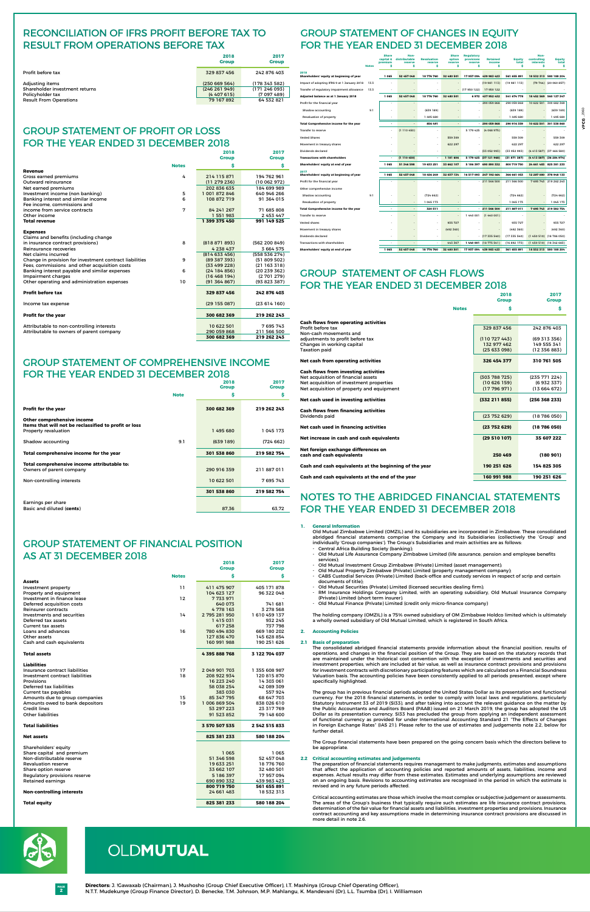**2 PAGE**

# OLDMUTUAL

|                                                   |              | <b>Share</b><br>capital & | Non-<br>distributable    | <b>Revaluation</b> | Share<br>option | <b>Regulatory</b><br>provisions | <b>Retained</b>        | <b>Equity</b> | Non-<br>controlling   | <b>Equity</b>            |
|---------------------------------------------------|--------------|---------------------------|--------------------------|--------------------|-----------------|---------------------------------|------------------------|---------------|-----------------------|--------------------------|
|                                                   | <b>Notes</b> | premium<br>\$             | reserve<br>\$            | reserve<br>\$      | reserve<br>\$   | reserve<br>\$                   | income<br>\$           | total<br>\$   | <b>interests</b><br>Ŝ | total<br>Ŝ               |
| 2018<br>Shareholders' equity at beginning of year |              | 1065                      | 52 457 048               | 18776760           | 32 480 501      |                                 | 17 957 094 439 983 423 | 561 655 891   |                       | 18 532 313 580 188 204   |
| Impact of adopting IFRS 9 at 1 January 2018       | 13.3         |                           |                          |                    |                 |                                 | $-$ (19 981 113)       | (19981113)    |                       | (79 744) (20 060 857)    |
| Transfer of regulatory impairment allowance       | 13.3         |                           |                          |                    |                 | $-$ (17 950 122)                | 17950122               |               |                       |                          |
| Adjusted balance as at 1 January 2018             |              | 1 0 6 5                   | 52 457 048               | 18 776 760         | 32 480 501      |                                 | 6972 437 952 432       | 541 674 778   |                       | 18 452 569 560 127 347   |
| Profit for the financial year                     |              |                           | ÷.                       |                    | $\overline{a}$  |                                 | $-290059868$           | 290 059 868   | 10 622 501            | 300 682 369              |
| Shadow accounting                                 | 9.1          |                           | $\overline{a}$           | (639189)           |                 |                                 |                        | (639189)      |                       | (639189)                 |
| Revaluation of property                           |              |                           |                          | 1 495 680          |                 |                                 |                        | 1 495 680     |                       | 1 495 680                |
| Total Comprehensive income for the year           |              | $\blacksquare$            | $\overline{\phantom{a}}$ | 856 491            | ÷,              |                                 | $-290059868$           | 290 916 359   |                       | 10 622 501 301 538 860   |
| <b>Transfer to reserve</b>                        |              |                           | (1110450)                |                    |                 | 5 179 425                       | (4068975)              |               |                       |                          |
| <b>Vested Shares</b>                              |              |                           |                          |                    | 559 309         |                                 |                        | 559 309       |                       | 559 309                  |
| Movement in treasury shares                       |              |                           |                          |                    | 622 297         |                                 |                        | 622 297       |                       | 622 297                  |
| Dividends declared                                |              |                           |                          |                    |                 |                                 | (33 052 993)           | (33 052 993)  |                       | (4 413 587) (37 466 580) |
| <b>Transactions with shareholders</b>             |              |                           | (1110450)                |                    | 1 181 606       |                                 | 5 179 425 (37 121 968) | (31 871 387)  |                       | (4 413 587) (36 284 974) |
| Shareholders' equity at end of year               |              | 1065                      | 51 346 598               | 19 633 251         | 33 662 107      |                                 | 5 186 397 690 890 332  | 800 719 750   |                       | 24 661 483 825 381 233   |
| 2017<br>Shareholders' equity at beginning of year |              | 1 0 6 5                   | 52 457 048               | 18 456 249         | 32 037 134      |                                 | 16 517 093 247 192 464 | 366 661 053   |                       | 12 287 080 378 948 133   |
| Profit for the financial year                     |              |                           | ä,                       |                    |                 |                                 | $-211566500$           | 211 566 500   |                       | 7 695 743 219 262 243    |
| Other comprehensive income                        |              |                           |                          |                    |                 |                                 |                        |               |                       |                          |
| Shadow accounting                                 | 9.1          |                           | ٠                        | (724662)           |                 |                                 |                        | (724662)      |                       | (724662)                 |
| Revaluation of property                           |              |                           | $\overline{\phantom{a}}$ | 1 045 173          |                 |                                 |                        | 1 045 173     |                       | 1 045 173                |
| Total Comprehensive income for the year           |              | $\overline{\phantom{a}}$  | $\sim$                   | 320 511            | ٠.              |                                 | $-211566500$           | 211887011     |                       | 7 695 743 219 582 754    |
| <b>Transfer to reserve</b>                        |              |                           |                          |                    |                 | 1 440 001                       | (1440001)              |               |                       |                          |
| <b>Vested shares</b>                              |              |                           |                          |                    | 935 727         |                                 |                        | 935 727       |                       | 935 727                  |
| Movement in treasury shares                       |              |                           |                          |                    | (492 360)       |                                 |                        | (492 360)     |                       | (492 360)                |
| Dividends declared                                |              |                           |                          |                    |                 |                                 | $-$ (17 335 540)       | (17335540)    |                       | $(1450510)$ $(18786050)$ |
| <b>Transactions with shareholders</b>             |              |                           | $\sim$                   | ÷                  | 443 367         | 1440 001                        | (18775541)             | (16892173)    |                       | (1 450 510) (18 342 683) |
| Shareholders' equity at end of year               |              | 1 0 6 5                   | 52 457 048               | 18776760           | 32 480 501      |                                 | 17 957 094 439 983 423 | 561 655 891   |                       | 18 532 313 580 188 204   |

Old Mutual Zimbabwe Limited (OMZIL) and its subsidiaries are incorporated in Zimbabwe. These consolidated abridged financial statements comprise the Company and its Subsidiaries (collectively the 'Group' and individually 'Group companies'). The Group's Subsidiaries and main activities are as follows: Central Africa Building Society (banking);

# GROUP STATEMENT OF CASH FLOWS FOR THE YEAR ENDED 31 DECEMBER 2018

# GROUP STATEMENT OF COMPREHENSIVE INCOME FOR THE YEAR ENDED 31 DECEMBER 2018

# GROUP STATEMENT OF CHANGES IN EQUITY FOR THE YEAR ENDED 31 DECEMBER 2018

# Notes to the ABRIDGED financial statements for the year ended 31 December 2018

# **1. General Information**

- Old Mutual Life Assurance Company Zimbabwe Limited (life assurance, pension and employee benefits services);
- Old Mutual Investment Group Zimbabwe (Private) Limited (asset management);
- Old Mutual Property Zimbabwe (Private) Limited (property management company);
- CABS Custodial Services (Private) Limited (back-office and custody services in respect of scrip and certain documents of title);
- Old Mutual Securities (Private) Limited (licensed securities dealing firm);
- RM Insurance Holdings Company Limited, with an operating subsidiary, Old Mutual Insurance Company (Private) Limited (short term insurer).
- Old Mutual Finance (Private) Limited (credit only micro-finance company)

The holding company (OMZIL) is a 75% owned subsidiary of OM Zimbabwe Holdco limited which is ultimately a wholly owned subsidiary of Old Mutual Limited, which is registered in South Africa.

# **2. Accounting Policies**

# **2.1 Basis of preparation**

The consolidated abridged financial statements provide information about the financial position, results of operations, and changes in the financial position of the Group. They are based on the statutory records that are maintained under the historical cost convention with the exception of investments and securities and investment properties, which are included at fair value, as well as insurance contract provisions and provisions for investment contracts with discretionary participating features which are calculated on a Financial Soundness Valuation basis. The accounting policies have been consistently applied to all periods presented, except where specifically highlighted.

# GROUP STATEMENT OF PROFIT OR LOSS FOR THE YEAR ENDED 31 DECEMBER 2018 **2018 2017**

The group has in previous financial periods adopted the United States Dollar as its presentation and functional currency. For the 2018 financial statements, in order to comply with local laws and regulations, particularly Statutory Instrument 33 of 2019 (SI33), and after taking into account the relevant guidance on the matter by the Public Accountants and Auditors Board (PAAB) issued on 21 March 2019, the group has adopted the US Dollar as its presentation currency. SI33 has precluded the group from applying an independent assessment of functional currency as provided for under International Accounting Standard 21 "The Effects of Changes in Foreign Exchange Rates" (IAS 21). Please refer to the use of estimates and judgements note 2.2, below for further detail.

The Group financial statements have been prepared on the going concern basis which the directors believe to be appropriate.

# **2.2 Critical accounting estimates and judgements**

# GROUP STATEMENT OF FINANCIAL POSITION AS AT 31 DECEMBER 2018  **2018 2017**

The preparation of financial statements requires management to make judgments, estimates and assumptions that affect the application of accounting policies and reported amounts of assets, liabilities, income and expenses. Actual results may differ from these estimates. Estimates and underlying assumptions are reviewed on an ongoing basis. Revisions to accounting estimates are recognised in the period in which the estimate is revised and in any future periods affected.

Critical accounting estimates are those which involve the most complex or subjective judgement or assessments. The areas of the Group's business that typically require such estimates are life insurance contract provisions, determination of the fair value for financial assets and liabilities, investment properties and provisions. Insurance contract accounting and key assumptions made in determining insurance contract provisions are discussed in more detail in note 2.6.



|                                | 2018<br><b>Group</b> | 2017<br><b>Group</b> |
|--------------------------------|----------------------|----------------------|
| Profit before tax              | 329 837 456          | 242 876 403          |
| Adjusting items                | (250669564)          | (178 343 582)        |
| Shareholder investment returns | (246 261 949)        | (171246093)          |
| Policyholder tax               | (4407615)            | (7097489)            |
| <b>Result From Operations</b>  | 79 167 892           | 64 532 821           |

# RECONCILIATION OF IFRS PROFIT BEFORE TAX TO RESULT FROM OPERATIONS BEFORE TAX

|                                                         |              | <b>Group</b>  | <b>Group</b>  |
|---------------------------------------------------------|--------------|---------------|---------------|
|                                                         | <b>Notes</b> | \$            | \$            |
| <b>Revenue</b>                                          |              |               |               |
| Gross earned premiums                                   | 4            | 214 115 871   | 194 762 961   |
| Outward reinsurance                                     |              | (11 279 236)  | (10062972)    |
| Net earned premiums                                     |              | 202 836 635   | 184 699 989   |
| Investment income (non banking)                         | 5            | 1 001 872 846 | 640 946 266   |
| Banking interest and similar income                     | 6            | 108 872 719   | 91 364 015    |
| Fee income, commissions and                             |              |               |               |
| income from service contracts                           | 7            | 84 241 267    | 71 685 808    |
| Other income                                            |              | 1 551 983     | 2 453 447     |
| <b>Total revenue</b>                                    |              | 1 399 375 450 | 991 149 525   |
|                                                         |              |               |               |
| <b>Expenses</b>                                         |              |               |               |
| Claims and benefits (including change                   |              |               |               |
| in insurance contract provisions)                       | 8            | (818871893)   | (562 200 849) |
| Reinsurance recoveries                                  |              | 4 238 437     | 3 664 575     |
| Net claims incurred                                     |              | (814633456)   | (558 536 274) |
| Change in provision for investment contract liabilities | 9            | (89 387 393)  | (51 809 502)  |
| Fees, commissions and other acquisition costs           |              | (33499228)    | (21163318)    |
| Banking interest payable and similar expenses           | 6            | (24184856)    | (20239362)    |
| Impairment charges                                      |              | (16468194)    | (2701279)     |
| Other operating and administration expenses             | 10           | (91364867)    | (93 823 387)  |
|                                                         |              |               |               |
| <b>Profit before tax</b>                                |              | 329 837 456   | 242 876 403   |
|                                                         |              |               |               |
| Income tax expense                                      |              | (29155087)    | (23614160)    |
| <b>Profit for the year</b>                              |              | 300 682 369   | 219 262 243   |
|                                                         |              |               |               |
| Attributable to non-controlling interests               |              | 10 622 501    | 7695743       |
| Attributable to owners of parent company                |              | 290 059 868   | 211 566 500   |
|                                                         |              | 300 682 369   | 219 262 243   |

|                                                                                     |             | 2018<br><b>Group</b> | 2017<br><b>Group</b> |
|-------------------------------------------------------------------------------------|-------------|----------------------|----------------------|
|                                                                                     | <b>Note</b> | \$                   | \$                   |
| <b>Profit for the year</b>                                                          |             | 300 682 369          | 219 262 243          |
| Other comprehensive income<br>Items that will not be reclassified to profit or loss |             |                      |                      |
| Property revaluation                                                                |             | 1495680              | 1 045 173            |
| Shadow accounting                                                                   | 9.1         | (639189)             | (724 662)            |
| Total comprehensive income for the year                                             |             | 301 538 860          | 219 582 754          |
| Total comprehensive income attributable to:                                         |             |                      |                      |
| Owners of parent company                                                            |             | 290 916 359          | 211 887 011          |
| Non-controlling interests                                                           |             | 10 622 501           | 7 695 743            |
|                                                                                     |             | 301 538 860          | 219 582 754          |
| Earnings per share                                                                  |             |                      |                      |
| Basic and diluted (cents)                                                           |             | 87,36                | 63,72                |

|                                  |              | <b>Group</b>  | Group         |
|----------------------------------|--------------|---------------|---------------|
|                                  | <b>Notes</b> | \$            | \$            |
| <b>Assets</b>                    |              |               |               |
| Investment property              | 11           | 411 475 907   | 405 171 878   |
| Property and equipment           |              | 104 623 127   | 96 322 048    |
| Investment in finance lease      | 12           | 7733971       |               |
| Deferred acquisition costs       |              | 640 073       | 741 681       |
| Reinsurer contracts              |              | 4778163       | 3 278 568     |
| Investments and securities       | 14           | 2 795 281 950 | 1610459137    |
| Deferred tax assets              |              | 1415031       | 932 245       |
| Current tax assets               |              | 617258        | 737 798       |
| Loans and advances               | 16           | 780 494 830   | 669 180 202   |
| Other assets                     |              | 127 836 470   | 145 628 854   |
| Cash and cash equivalents        |              | 160 991 988   | 190 251 626   |
| <b>Total assets</b>              |              | 4395888768    | 3 122 704 037 |
| <b>Liabilities</b>               |              |               |               |
| Insurance contract liabilities   | 17           | 2 049 901 703 | 1 355 608 987 |
| Investment contract liabilities  | 18           | 208 922 934   | 120 815 870   |
| Provisions                       |              | 16 223 240    | 14 303 061    |
| Deferred tax liabilities         |              | 58 038 254    | 42 089 309    |
| Current tax payables             |              | 383 030       | 557924        |
| Amounts due to group companies   | 15           | 85 347 795    | 68 647 703    |
| Amounts owed to bank depositors  | 19           | 1 006 869 504 | 838 026 610   |
| Credit lines                     |              | 53 297 223    | 23 317 769    |
| <b>Other liabilities</b>         |              | 91 523 852    | 79 148 600    |
| <b>Total liabilities</b>         |              | 3 570 507 535 | 2 542 515 833 |
| <b>Net assets</b>                |              | 825 381 233   | 580 188 204   |
| Shareholders' equity             |              |               |               |
| Share capital and premium        |              | 1 065         | 1 065         |
| Non-distributable reserve        |              | 51 346 598    | 52 457 048    |
| <b>Revaluation reserve</b>       |              | 19 633 251    | 18776760      |
| Share option reserve             |              | 33 662 107    | 32 480 501    |
| Regulatory provisions reserve    |              | 5 186 397     | 17957094      |
| <b>Retained earnings</b>         |              | 690 890 332   | 439 983 423   |
|                                  |              | 800 719 750   | 561 655 891   |
| <b>Non-controlling interests</b> |              | 24 661 483    | 18532313      |
| <b>Total equity</b>              |              | 825 381 233   | 580 188 204   |

**2018 2017**

|                                                        |              | <b>Group</b>  | <b>Group</b>  |
|--------------------------------------------------------|--------------|---------------|---------------|
|                                                        | <b>Notes</b> | Ś             | Ś             |
| <b>Cash flows from operating activities</b>            |              |               |               |
| Profit before tax                                      |              | 329 837 456   | 242 876 403   |
| Non-cash movements and                                 |              |               |               |
| adjustments to profit before tax                       |              | (110727443)   | (69313356)    |
| Changes in working capital                             |              | 132 977 462   | 149 555 341   |
| <b>Taxation paid</b>                                   |              | (25633098)    | (12356883)    |
| Net cash from operating activities                     |              | 326 454 377   | 310 761 505   |
| <b>Cash flows from investing activities</b>            |              |               |               |
| Net acquisition of financial assets                    |              | (303 788 725) | (235 771 224) |
| Net acquisition of investment properties               |              | (10626159)    | (6 932 337)   |
| Net acquisition of property and equipment              |              | (17796971)    | (13664672)    |
| Net cash used in investing activities                  |              | (332 211 855) | (256 368 233) |
| <b>Cash flows from financing activities</b>            |              |               |               |
| Dividends paid                                         |              | (23752629)    | (18786050)    |
| Net cash used in financing activities                  |              | (23752629)    | (18786050)    |
| Net increase in cash and cash equivalents              |              | (29510107)    | 35 607 222    |
| Net foreign exchange differences on                    |              |               |               |
| cash and cash equivalents                              |              | 250 469       | (180901)      |
| Cash and cash equivalents at the beginning of the year |              | 190 251 626   | 154 825 305   |
| Cash and cash equivalents at the end of the year       |              | 160 991 988   | 190 251 626   |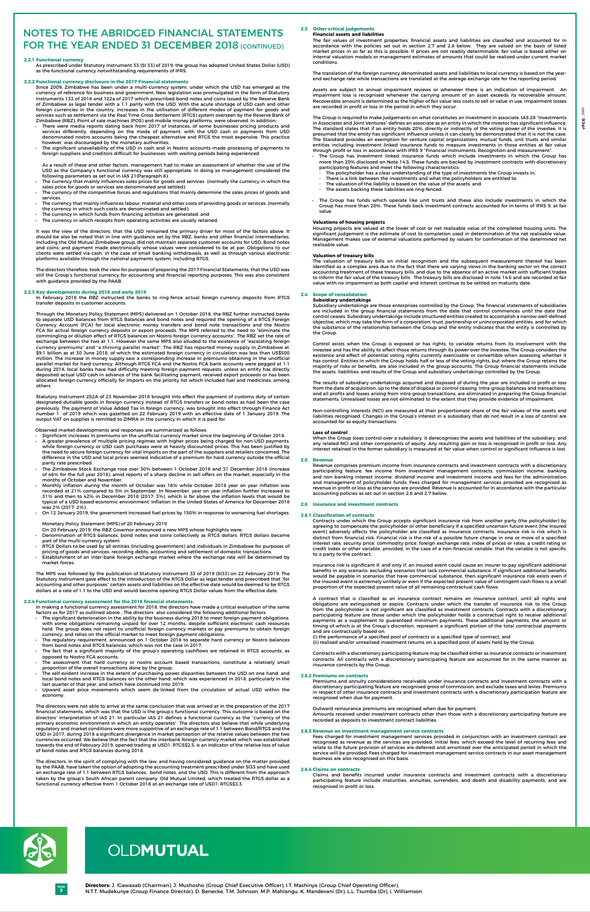# **2.2.1 Functional currency**

As prescribed under Statutory Instrument 33 (SI 33) of 2019, the group has adopted United States Dollar (USD) as the functional currency notwithstanding requirements of IFRS.

# **2.2.2 Functional currency disclosure in the 2017 Financial statements**

Since 2009, Zimbabwe has been under a multi-currency system, under which the USD has emerged as the currency of reference for business and government. New legislation was promulgated in the form of Statutory Instruments 133 of 2016 and 122a of 2017 which prescribed bond notes and coins issued by the Reserve Bank of Zimbabwe as legal tender with a 1:1 parity with the USD. With the acute shortage of USD cash and other foreign currencies in the country, increases in the utilisation of different modes of payment for goods and services such as settlement via the Real Time Gross Settlement (RTGS) system overseen by the Reserve Bank of Zimbabwe (RBZ), Point of sale machines (POS) and mobile money platforms, were observed. In addition:

- There were media reports dating back from 2017 of instances, of some businesses pricing products and services differently, depending on the mode of payment, with the USD cash or payments from USD denominated nostro accounts being the cheapest alternative and RTGS the most expensive. This practice however, was discouraged by the monetary authorities;
- The significant unavailability of the USD in cash and in Nostro accounts made processing of payments to foreign suppliers and creditors difficult for businesses, with waiting periods being experienced.
- As a result of these and other factors, management had to make an assessment of whether the use of the USD as the Company's functional currency was still appropriate. In doing so management considered the following parameters as set out in IAS 21(Paragraph 8):
- The currency that mainly influences sales prices for goods and services (normally the currency in which the sales price for goods or services are denominated and settled);
- The currency of the competitive forces and regulations that mainly determine the sales prices of goods and services.
- The currency that mainly influences labour, material and other costs of providing goods or services; (normally the currency in which such costs are denominated and settled);
- The currency in which funds from financing activities are generated; and
- The currency in which receipts from operating activities are usually retained.

It was the view of the directors, that the USD remained the primary driver for most of the factors above. It should be also be noted that in line with guidance set by the RBZ, banks and other financial intermediaries, including the Old Mutual Zimbabwe group, did not maintain separate customer accounts for USD; Bond notes and coins; and payment made electronically whose values were considered to be at par. Obligations to our clients were settled via cash, in the case of small banking withdrawals, as well as through various electronic platforms available through the national payments system, including RTGS.

The directors therefore, took the view for purposes of preparing the 2017 Financial Statements, that the USD was still the Group's functional currency for accounting and financial reporting purposes. This was also consistent with guidance provided by the PAAB.

# **2.2.3 Key developments during 2018 and early 2019**

In February 2018 the RBZ instructed the banks to ring-fence actual foreign currency deposits from RTGS transfer deposits in customer accounts.

- Denomination of RTGS balances, bond notes and coins collectively as RTGS dollars. RTGS dollars became part of the multi-currency system.
- • RTGS Dollars to be used by all entities (including government) and individuals in Zimbabwe for purposes of pricing of goods and services, recording debts, accounting and settlement of domestic transactions.
- Establishment of an inter-bank foreign exchange market where the exchange rate will be determined by market forces.

Through the Monetary Policy Statement (MPS) delivered on 1 October 2018, the RBZ further instructed banks to separate USD balances from RTGS Balances and bond notes and required the opening of a RTGS Foreign Currency Account (FCA) for local electronic money transfers and bond note transactions and the Nostro FCA for actual foreign currency deposits or export proceeds. The MPS referred to the need to "eliminate the commingling or dilution effect of RTGS balances on Nostro foreign currency accounts". The RBZ set the rate of exchange between the two at 1:1. However the same MPS also alluded to the existence of "escalating foreign currency premiums" and "a thriving parallel market". The RBZ has reported money supply in Zimbabwe at \$9.1 billion as at 30 June 2018, of which the estimated foreign currency in circulation was less than US\$500 million. The increase in money supply saw a corresponding increase in premiums obtaining in the unofficial parallel market for hard currency. Although RTGS FCA and the Nostro FCA bank accounts were pegged at 1:1 during 2018, local banks have had difficulty meeting foreign payment requests, unless an entity has directly deposited actual USD cash in advance of the bank facilitating payment, received export proceeds or has been allocated foreign currency officially for imports on the priority list which included fuel and medicines, among others.

- The significant deterioration in the ability by the business during 2018 to meet foreign payment obligations, with some obligations remaining unpaid for over 12 months, despite sufficient electronic cash resources held. The group does not resort to unofficial foreign currency markets or pay premiums to obtain foreign currency, and relies on the official market to meet foreign payment obligations;
- The regulatory requirement, announced on 1 October 2018 to separate hard currency or Nostro balances from bond notes and RTGS balances, which was not the case in 2017;
- The fact that a significant majority of the group's operating cashflows are retained in RTGS accounts, as opposed to Nostro FCA accounts;
- The assessment that hard currency or nostro account based transactions, constitute a relatively small proportion of the overall transactions done by the group;
- The self-evident increase in the extent of purchasing power disparities between the USD on one hand; and local bond notes and RTGS balances on the other hand; which was experienced in 2018, particularly in the last quarter of that year, and which have continued into 2019;
- Upward asset price movements which seem de-linked from the circulation of actual USD within the economy.

Statutory Instrument 252A of 23 November 2018 brought into effect the payment of customs duty of certain designated dutiable goods in foreign currency instead of RTGS transfers or bond notes as had been the case previously. The payment of Value Added Tax in foreign currency, was brought into effect through Finance Act number 1 of 2019 which was gazetted on 22 February 2019 with an effective date of 1 January 2019. The output VAT on supplies is remitted to ZIMRA in the currency in which it is paid for.

# Observed market developments and responses are summarized as follows:

Significant increases in premiums on the unofficial currency market since the beginning of October 2018.

- A greater prevalence of multiple pricing regimes with higher prices being charged for non-USD payments, while foreign currency or USD cash purchases were at heavily discounted prices. This has been justified by the need to secure foreign currency for vital imports on the part of the suppliers and retailers concerned. The difference in the USD and local prices seemed indicative of a premium for hard currency outside the official parity rate prescribed.
- The Zimbabwe Stock Exchange rose over 30% between 1 October 2018 and 31 December 2018 (increase of 46% for the full year 2018), amid reports of a sharp decline in sell offers on the market, especially in the months of October and November.
- Monthly inflation during the month of October was 16% while October 2018 year on year inflation was recorded at 21% compared to 5% in September. In November, year on year inflation further increased to 31% and then to 42% in December 2018 (2017: 3%), which is far above the inflation levels that would be typical of a USD based economic environment. Inflation in the United States of America for December 2018 was 2% (2017: 2%).
- On 12 January 2019, the government increased fuel prices by 150% in response to worsening fuel shortages.
- The Group has investment linked insurance funds which include investments in which the Group has more than 20% disclosed on Note 14.5. These funds are backed by investment contracts with discretionary participating features and meet the following characteristics:
	- The policyholder has a clear understanding of the type of investments the Group invests in;
	- There is a link between the investments and what the policyholders are entitled to;
- The valuation of the liability is based on the value of the assets; and
- The assets backing these liabilities are ring-fenced.
- The Group has funds which operate like unit trusts and these also include investments in which the Group has more than 20%. These funds back investment contracts accounted for in terms of IFRS 9, at fair value.

# Monetary Policy Statement (MPS) of 20 February 2019

On 20 February 2019, the RBZ Governor announced a new MPS whose highlights were:

The MPS was followed by the publication of Statutory Instrument 33 of 2019 (SI33) on 22 February 2019. The Statutory Instrument gave effect to the introduction of the RTGS Dollar as legal tender and prescribed that "for accounting and other purposes" certain assets and liabilities on the effective date would be deemed to be RTGS dollars at a rate of 1:1 to the USD and would become opening RTGS Dollar values from the effective date.

# **2.2.4 Functional currency assessment for the 2018 financial statements.**

In making a functional currency assessment for 2018, the directors have made a critical evaluation of the same factors as for 2017 as outlined above , The directors also considered the following additional factors:

The directors were not able to arrive at the same conclusion that was arrived at in the preparation of the 2017 financial statements, which was that the USD is the group's functional currency. This outcome is based on the directors' interpretation of IAS 21. In particular IAS 21 defines a functional currency as the "currency of the primary economic environment in which an entity operates". The directors also believe that while underlying regulatory and market conditions were more supportive of an exchange rate of 1:1 between Bond/RTGS and the USD in 2017, during 2018 a significant divergence in market perception of the relative values between the two currencies occurred. We believe that the fact that the interbank foreign currency market which was established towards the end of February 2019, opened trading at USD1: RTGS\$2.5, is an indicator of the relative loss of value of bond notes and RTGS balances during 2018.

# Notes to the ABRIDGED financial statements FOR THE YEAR ENDED 31 DECEMBER 2018 (CONTINUED)

The directors, in the spirit of complying with the law, and having considered guidance on the matter provided by the PAAB, have taken the option of adopting the accounting treatment prescribed under SI33 and have used an exchange rate of 1:1 between RTGS balances, bond notes; and the USD. This is different from the approach taken by the group's South African parent company, Old Mutual Limited, which treated the RTGS dollar as a functional currency effective from 1 October 2018 at an exchange rate of USD1: RTGS\$3.3.

### **2.3 Other critical judgements Financial assets and liabilities**

The fair values of investment properties, financial assets and liabilities are classified and accounted for in accordance with the policies set out in section 2.7 and 2.8 below. They are valued on the basis of listed market prices in so far as this is possible. If prices are not readily determinable, fair value is based either on internal valuation models or management estimates of amounts that could be realized under current market conditions.

The translation of the foreign currency denominated assets and liabilities to local currency is based on the yearend exchange rate while transactions are translated at the average exchange rate for the reporting period.

Assets are subject to annual impairment reviews or whenever there is an indication of impairment. An impairment loss is recognised whenever the carrying amount of an asset exceeds its recoverable amount. Recoverable amount is determined as the higher of fair value less costs to sell or value in use. Impairment losses are recorded in profit or loss in the period in which they occur.

The Group is required to make judgements on what constitutes an investment in associate. IAS 28 "Investments in Associates and Joint Ventures" defines an associate as an entity in which the investor has significant influence. The standard states that if an entity holds 20%, directly or indirectly of the voting power of the investee, it is presumed that the entity has significant influence unless it can clearly be demonstrated that it is not the case. The Standard provides an exemption for venture capital organizations, mutual funds, unit trusts and similar entities including investment linked insurance funds to measure investments in those entities at fair value through profit or loss in accordance with IFRS 9 "Financial instruments: Recognition and measurement".

# **Valuations of housing projects**

Housing projects are valued at the lower of cost or net realisable value of the completed housing units. The significant judgement is the estimate of cost to completion used in determination of the net realisable value. Management makes use of external valuations performed by valuers for confirmation of the determined net realisable value.

# **Valuation of treasury bills**

The valuation of treasury bills on initial recognition and the subsequent measurement thereof has been identified as a complex area due to the fact that there are varying views in the banking sector on the correct accounting treatment of these treasury bills, and due to the absence of an active market with sufficient trades to inform the fair value of the treasury bills. The treasury bills are disclosed in note 14.6 and are recorded at fair value with no impairment as both capital and interest continue to be settled on maturity date.

# **2.4 Scope of consolidation Subsidiary undertakings**

Subsidiary undertakings are those enterprises controlled by the Group. The financial statements of subsidiaries are included in the group financial statements from the date that control commences until the date that control ceases. Subsidiary undertakings include structured entities created to accomplish a narrow well-defined objective, which may take the form of a corporation, trust, partnership or unincorporated entities, and for which the substance of the relationship between the Group and the entity indicates that the entity is controlled by the Group.

Control exists when the Group is exposed or has rights, to variable returns from its involvement with the investee and has the ability to affect those returns through its power over the investee. The Group considers the existence and effect of potential voting rights currently exercisable or convertible when assessing whether it has control. Entities in which the Group holds half or less of the voting rights, but where the Group retains the majority of risks or benefits, are also included in the group accounts. The Group financial statements include the assets, liabilities, and results of the Group and subsidiary undertakings controlled by the Group.

The results of subsidiary undertakings acquired and disposed of during the year are included in profit or loss from the date of acquisition, up to the date of disposal or control ceasing. Intra-group balances and transactions, and all profits and losses arising from intra-group transactions, are eliminated in preparing the Group financial statements. Unrealised losses are not eliminated to the extent that they provide evidence of impairment.

Non-controlling interests (NCI) are measured at their proportionate share of the fair values of the assets and liabilities recognised. Changes in the Group's interest in a subsidiary that do not result in a loss of control are accounted for as equity transactions.

### **Loss of control**

When the Group loses control over a subsidiary, it derecognises the assets and liabilities of the subsidiary, and any related NCI and other components of equity. Any resulting gain or loss is recognised in profit or loss. Any interest retained in the former subsidiary is measured at fair value when control or significant influence is lost.

### **2.5 Revenue**

Revenue comprises premium income from insurance contracts and investment contracts with a discretionary participating feature, fee income from investment management contracts, commission income, banking and non banking interest income, dividend income and investment income and fees for the administration and management of policyholder funds. Fees charged for management services provided are recognised as revenue in profit or loss as the services are provided. Revenue is accounted for in accordance with the particular accounting policies as set out in section 2.6 and 2.7 below.

### **2.6 Insurance and investment contracts**

### **2.6.1 Classification of contracts**

Contracts under which the Group accepts significant insurance risk from another party (the policyholder) by agreeing to compensate the policyholder or other beneficiary if a specified uncertain future event (the insured event) adversely affects the policyholder are classified as insurance contracts. Insurance risk is risk which is distinct from financial risk. Financial risk is the risk of a possible future change in one or more of a specified interest rate, security price, commodity price, foreign exchange rate, index of prices or rates, a credit rating or credit index or other variable, provided, in the case of a non-financial variable, that the variable is not specific to a party to the contract.

Insurance risk is significant if, and only if, an insured event could cause an insurer to pay significant additional

benefits in any scenario, excluding scenarios that lack commercial substance. If significant additional benefits would be payable in scenarios that have commercial substance, then significant insurance risk exists even if the insured event is extremely unlikely or even if the expected present value of contingent cash flows is a small proportion of the expected present value of all remaining contractual cash flows.

A contract that is classified as an insurance contract remains an insurance contract, until all rights and obligations are extinguished or expire. Contracts under which the transfer of insurance risk to the Group from the policyholder is not significant are classified as investment contracts. Contracts with a discretionary participating feature are those under which the policyholder holds a contractual right to receive additional payments as a supplement to guaranteed minimum payments. These additional payments, the amount or timing of which is at the Group's discretion, represent a significant portion of the total contractual payments and are contractually based on:

(i) the performance of a specified pool of contracts or a specified type of contract, and (ii) realised and/or unrealised investment returns on a specified pool of assets held by the Group.

Contracts with a discretionary participating feature may be classified either as insurance contracts or investment contracts. All contracts with a discretionary participating feature are accounted for in the same manner as insurance contracts by the Group.

# **2.6.2 Premiums on contracts**

Premiums and annuity considerations receivable under insurance contracts and investment contracts with a discretionary participating feature are recognised gross of commission, and exclude taxes and levies. Premiums in respect of other insurance contracts and investment contracts with a discretionary participation feature are recognised when due for payment.

Outward reinsurance premiums are recognised when due for payment.

Amounts received under investment contracts other than those with a discretionary participating feature are recorded as deposits to investment contract liabilities.

### **2.6.3 Revenue on investment management service contracts**

Fees charged for investment management services provided in conjunction with an investment contract are recognised as revenue as the services are provided. Initial fees, which exceed the level of recurring fees and relate to the future provision of services are deferred and amortised over the anticipated period in which the service will be provided. Fees charged for investment management service contracts in our asset management business are also recognised on this basis.

### **2.6.4 Claims on contracts**

Claims and benefits incurred under insurance contracts and investment contracts with a discretionary participating feature include maturities, annuities, surrenders, and death and disability payments, and are recognised in profit or loss.



# OLDMUTUAL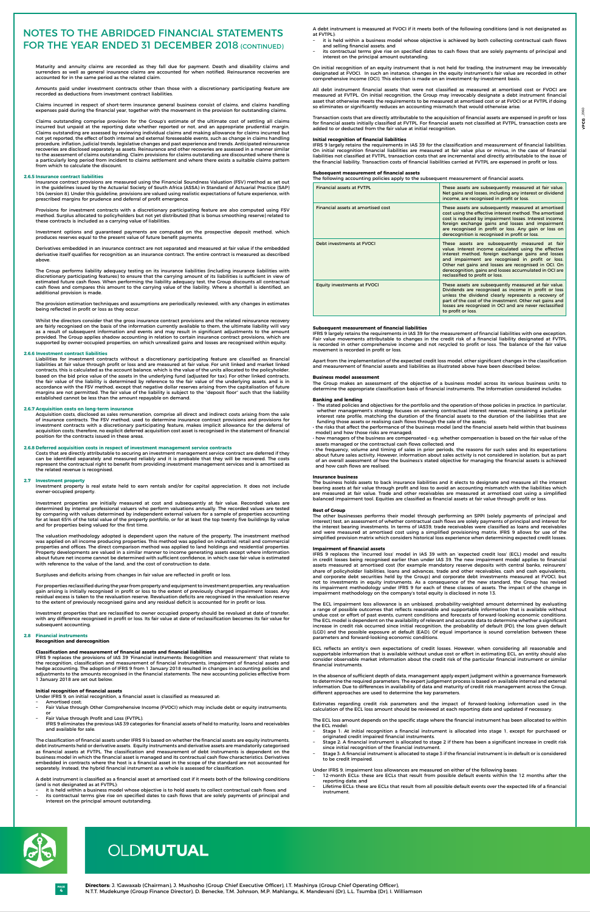**4**

**Directors:** J. !Gawaxab (Chairman), J. Mushosho (Group Chief Executive Officer), I.T. Mashinya (Group Chief Operating Officer), N.T.T. Mudekunye (Group Finance Director), D. Benecke, T.M. Johnson, M.P. Mahlangu, K. Mandevani (Dr), L.L. Tsumba (Dr), I. Williamson

**PAGE**

# OLDMUTUAL

Maturity and annuity claims are recorded as they fall due for payment. Death and disability claims and surrenders as well as general insurance claims are accounted for when notified. Reinsurance recoveries are accounted for in the same period as the related claim.

Amounts paid under investment contracts other than those with a discretionary participating feature are recorded as deductions from investment contract liabilities.

Claims incurred in respect of short-term insurance general business consist of claims, and claims handling expenses paid during the financial year, together with the movement in the provision for outstanding claims.

Claims outstanding comprise provision for the Group's estimate of the ultimate cost of settling all claims incurred but unpaid at the reporting date whether reported or not, and an appropriate prudential margin. Claims outstanding are assessed by reviewing individual claims and making allowance for claims incurred but not yet reported, the effect of both internal and external foreseeable events, such as change in claims handling procedure, inflation, judicial trends, legislative changes and past experience and trends. Anticipated reinsurance recoveries are disclosed separately as assets. Reinsurance and other recoveries are assessed in a manner similar to the assessment of claims outstanding. Claim provisions for claims outstanding are discounted where there is a particularly long period from incident to claims settlement and where there exists a suitable claims pattern from which to calculate the discount.

# **2.6.5 Insurance contract liabilities**

Insurance contract provisions are measured using the Financial Soundness Valuation (FSV) method as set out in the guidelines issued by the Actuarial Society of South Africa (ASSA) in Standard of Actuarial Practice (SAP) 104 (version 8). Under this guideline, provisions are valued using realistic expectations of future experience, with prescribed margins for prudence and deferral of profit emergence.

Provisions for investment contracts with a discretionary participating feature are also computed using FSV method. Surplus allocated to policyholders but not yet distributed (that is bonus smoothing reserve) related to these contracts is included as a carrying value of liabilities.

Investment options and guaranteed payments are computed on the prospective deposit method, which produces reserves equal to the present value of future benefit payments.

Derivatives embedded in an insurance contract are not separated and measured at fair value if the embedded derivative itself qualifies for recognition as an insurance contract. The entire contract is measured as described above.

The Group performs liability adequacy testing on its insurance liabilities (including insurance liabilities with discretionary participating features) to ensure that the carrying amount of its liabilities is sufficient in view of estimated future cash flows. When performing the liability adequacy test, the Group discounts all contractual cash flows and compares this amount to the carrying value of the liability. Where a shortfall is identified, an additional provision is made.

The provision estimation techniques and assumptions are periodically reviewed, with any changes in estimates being reflected in profit or loss as they occur.

Whilst the directors consider that the gross insurance contract provisions and the related reinsurance recovery are fairly recognised on the basis of the information currently available to them, the ultimate liability will vary as a result of subsequent information and events and may result in significant adjustments to the amount provided. The Group applies shadow accounting in relation to certain insurance contract provisions, which are supported by owner-occupied properties, on which unrealized gains and losses are recognised within equity.

# **2.6.6 Investment contract liabilities**

Liabilities for investment contracts without a discretionary participating feature are classified as financial liabilities at fair value through profit or loss and are measured at fair value. For unit linked and market linked contracts, this is calculated as the account balance, which is the value of the units allocated to the policyholder, based on the bid price value of the assets in the underlying fund (adjusted for tax). For other linked contracts, the fair value of the liability is determined by reference to the fair value of the underlying assets, and is in accordance with the FSV method, except that negative dollar reserves arising from the capitalisation of future margins are not permitted. The fair value of the liability is subject to the "deposit floor" such that the liability established cannot be less than the amount repayable on demand.

### **2.6.7 Acquisition costs on long-term insurance**

- it is held within a business model whose objective is achieved by both collecting contractual cash flows and selling financial assets; and
- its contractual terms give rise on specified dates to cash flows that are solely payments of principal and interest on the principal amount outstanding.

Acquisition costs, disclosed as sales remuneration, comprise all direct and indirect costs arising from the sale of insurance contracts. The FSV method, used to determine insurance contract provisions and provisions for investment contracts with a discretionary participating feature, makes implicit allowance for the deferral of acquisition costs; therefore, no explicit deferred acquisition cost asset is recognised in the statement of financial position for the contracts issued in these areas.

### **2.6.8 Deferred acquisition costs in respect of investment management service contracts**

Costs that are directly attributable to securing an investment management service contract are deferred if they can be identified separately and measured reliably and it is probable that they will be recovered. The costs represent the contractual right to benefit from providing investment management services and is amortised as the related revenue is recognised.

# **2.7 Investment property**

Investment property is real estate held to earn rentals and/or for capital appreciation. It does not include owner-occupied property.

Investment properties are initially measured at cost and subsequently at fair value. Recorded values are determined by internal professional valuers who perform valuations annually. The recorded values are tested by comparing with values determined by independent external valuers for a sample of properties accounting for at least 65% of the total value of the property portfolio, or for at least the top twenty five buildings by value and for properties being valued for the first time.

The valuation methodology adopted is dependent upon the nature of the property. The investment method was applied on all income producing properties. This method was applied on industrial, retail and commercial properties and offices. The direct comparison method was applied to land holdings and residential properties. Property developments are valued in a similar manner to income generating assets except where information about future net income cannot be determined with sufficient confidence, in which case fair value is estimated with reference to the value of the land, and the cost of construction to date.

Surpluses and deficits arising from changes in fair value are reflected in profit or loss.

For properties reclassified during the year from property and equipment to investment properties, any revaluation gain arising is initially recognised in profit or loss to the extent of previously charged impairment losses. Any residual excess is taken to the revaluation reserve. Revaluation deficits are recognised in the revaluation reserve to the extent of previously recognised gains and any residual deficit is accounted for in profit or loss.

Investment properties that are reclassified to owner occupied property should be revalued at date of transfer, with any difference recognised in profit or loss. Its fair value at date of reclassification becomes its fair value for subsequent accounting.

# **2.8 Financial instruments**

# **Recognition and derecognition**

# **Classification and measurement of financial assets and financial liabilities**

 IFRS 9 replaces the provisions of IAS 39 'Financial instruments: Recognition and measurement' that relate to the recognition, classification and measurement of financial instruments, impairment of financial assets and hedge accounting. The adoption of IFRS 9 from 1 January 2018 resulted in changes in accounting policies and adjustments to the amounts recognised in the financial statements. The new accounting policies effective from 1 January 2018 are set out below.

# **Initial recognition of financial assets**

- Under IFRS 9, on initial recognition, a financial asset is classified as measured at:
- − Amortised cost;
- Fair Value through Other Comprehensive Income (FVOCI) which may include debt or equity instruments; or
- Fair Value through Profit and Loss (FVTPL).
- IFRS 9 eliminates the previous IAS 39 categories for financial assets of held to maturity, loans and receivables and available for sale.

The classification of financial assets under IFRS 9 is based on whether the financial assets are equity instruments, debt instruments held or derivative assets. Equity instruments and derivative assets are mandatorily categorised as financial assets at FVTPL. The classification and measurement of debt instruments is dependent on the business model in which the financial asset is managed and its contractual cash flow characteristics. Derivatives embedded in contracts where the host is a financial asset in the scope of the standard are not accounted for separately. Instead, the hybrid financial instrument as a whole is assessed for classification.

A debt instrument is classified as a financial asset at amortised cost if it meets both of the following conditions (and is not designated as at FVTPL):

- 12-month ECLs: these are ECLs that result from possible default events within the 12 months after the reporting date; and
- − Lifetime ECLs: these are ECLs that result from all possible default events over the expected life of a financial instrument.

# Notes to the ABRIDGED financial statements FOR THE YEAR ENDED 31 DECEMBER 2018 (CONTINUED)



- − it is held within a business model whose objective is to hold assets to collect contractual cash flows; and
- − its contractual terms give rise on specified dates to cash flows that are solely payments of principal and interest on the principal amount outstanding.

 A debt instrument is measured at FVOCI if it meets both of the following conditions (and is not designated as at FVTPL):

On initial recognition of an equity instrument that is not held for trading, the instrument may be irrevocably designated at FVOCI. In such an instance, changes in the equity instrument's fair value are recorded in other comprehensive income (OCI). This election is made on an investment-by-investment basis.

All debt instrument financial assets that were not classified as measured at amortised cost or FVOCI are measured at FVTPL. On initial recognition, the Group may irrevocably designate a debt instrument financial asset that otherwise meets the requirements to be measured at amortised cost or at FVOCI or at FVTPL if doing so eliminates or significantly reduces an accounting mismatch that would otherwise arise.

Transaction costs that are directly attributable to the acquisition of financial assets are expensed in profit or loss for financial assets initially classified at FVTPL. For financial assets not classified at FVTPL, transaction costs are added to or deducted from the fair value at initial recognition.

# **Initial recognition of financial liabilities**

IFRS 9 largely retains the requirements in IAS 39 for the classification and measurement of financial liabilities. On initial recognition financial liabilities are measured at fair value plus or minus, in the case of financial liabilities not classified at FVTPL, transaction costs that are incremental and directly attributable to the issue of the financial liability. Transaction costs of financial liabilities carried at FVTPL are expensed in profit or loss.

# **Subsequent measurement of financial assets**

The following accounting policies apply to the subsequent measurement of financial assets.

| <b>Financial assets at EVTPL</b>   | These assets are subsequently measured at fair value.<br>Net gains and losses, including any interest or dividend<br>income, are recognised in profit or loss.                                                                                                                                                                                                         |  |  |
|------------------------------------|------------------------------------------------------------------------------------------------------------------------------------------------------------------------------------------------------------------------------------------------------------------------------------------------------------------------------------------------------------------------|--|--|
| Financial assets at amortised cost | These assets are subsequently measured at amortised<br>cost using the effective interest method. The amortised<br>cost is reduced by impairment losses. Interest income,<br>foreign exchange gains and losses and impairment<br>are recognised in profit or loss. Any gain or loss on<br>derecognition is recognised in profit or loss.                                |  |  |
| Debt investments at FVOCI          | These assets are subsequently measured at fair<br>value. Interest income calculated using the effective<br>interest method, foreign exchange gains and losses<br>and impairment are recognised in profit or loss.<br>Other net gains and losses are recognised in OCI. On<br>derecognition, gains and losses accumulated in OCI are<br>reclassified to profit or loss. |  |  |
| <b>Equity investments at FVOCI</b> | These assets are subsequently measured at fair value.<br>Dividends are recognised as income in profit or loss<br>unless the dividend clearly represents a recovery of<br>part of the cost of the investment. Other net gains and<br>losses are recognised in OCI and are never reclassified<br>to profit or loss.                                                      |  |  |

# **Subsequent measurement of financial liabilities**

IFRS 9 largely retains the requirements in IAS 39 for the measurement of financial liabilities with one exception. Fair value movements attributable to changes in the credit risk of a financial liability designated at FVTPL is recorded in other comprehensive income and not recycled to profit or loss. The balance of the fair value movement is recorded in profit or loss.

Apart from the implementation of the expected credit loss model, other significant changes in the classification and measurement of financial assets and liabilities as illustrated above have been described below.

**Business model assessment**

The Group makes an assessment of the objective of a business model across its various business units to determine the appropriate classification basis of financial instruments. The Information considered includes:

# **Banking and lending**

 • The stated policies and objectives for the portfolio and the operation of those policies in practice. In particular, whether management's strategy focuses on earning contractual interest revenue, maintaining a particular interest rate profile, matching the duration of the financial assets to the duration of the liabilities that are funding those assets or realising cash flows through the sale of the assets;

 • the risks that affect the performance of the business model (and the financial assets held within that business model) and how those risks are managed;

 • how managers of the business are compensated – e.g. whether compensation is based on the fair value of the assets managed or the contractual cash flows collected; and

 • the frequency, volume and timing of sales in prior periods, the reasons for such sales and its expectations about future sales activity. However, information about sales activity is not considered in isolation, but as part of an overall assessment of how the business's stated objective for managing the financial assets is achieved and how cash flows are realised.

# **Insurance business**

The business holds assets to back insurance liabilities and it elects to designate and measure all the interest bearing assets at fair value through profit and loss to avoid an accounting mismatch with the liabilities which are measured at fair value. Trade and other receivables are measured at armotised cost using a simplified balanced impairment tool. Equities are classified as financial assets at fair value through profit or loss.

# **Rest of Group**

The other businesses performs their model through performing an SPPI (solely payments of principal and interest) test, an assessment of whether contractual cash flows are solely payments of principal and interest for the interest bearing investments. In terms of IAS39, trade receivables were classified as loans and receivables and were measured at amortised cost using a simplified provisioning matrix. IFRS 9 allows for use of the simplified provision matrix which considers historical loss experience when determining expected credit losses.

# **Impairment of financial assets**

IFRS 9 replaces the 'incurred loss' model in IAS 39 with an 'expected credit loss' (ECL) model and results in credit losses being recognised earlier than under IAS 39. The new impairment model applies to financial assets measured at amortised cost (for example mandatory reserve deposits with central banks, reinsurers'

share of policyholder liabilities, loans and advances, trade and other receivables, cash and cash equivalents, and corporate debt securities held by the Group) and corporate debt investments measured at FVOCI, but not to investments in equity instruments. As a consequence of the new standard, the Group has revised its impairment methodology under IFRS 9 for each of these classes of assets. The impact of the change in impairment methodology on the company's total equity is disclosed in note 13.

The ECL impairment loss allowance is an unbiased, probability-weighted amount determined by evaluating a range of possible outcomes that reflects reasonable and supportable information that is available without undue cost or effort of past events, current conditions and forecasts of forward-looking economic conditions. The ECL model is dependent on the availability of relevant and accurate data to determine whether a significant increase in credit risk occurred since initial recognition, the probability of default (PD), the loss given default (LGD) and the possible exposure at default (EAD). Of equal importance is sound correlation between these parameters and forward-looking economic conditions.

ECL reflects an entity's own expectations of credit losses. However, when considering all reasonable and supportable information that is available without undue cost or effort in estimating ECL, an entity should also consider observable market information about the credit risk of the particular financial instrument or similar financial instruments.

In the absence of sufficient depth of data, management apply expert judgment within a governance framework to determine the required parameters. The expert judgement process is based on available internal and external information. Due to differences in availability of data and maturity of credit risk management across the Group, different approaches are used to determine the key parameters.

Estimates regarding credit risk parameters and the impact of forward-looking information used in the calculation of the ECL loss amount should be reviewed at each reporting date and updated if necessary.

The ECL loss amount depends on the specific stage where the financial instrument has been allocated to within the ECL model:

- − Stage 1: At initial recognition a financial instrument is allocated into stage 1, except for purchased or originated credit impaired financial instruments.
- − Stage 2: A financial instrument is allocated to stage 2 if there has been a significant increase in credit risk since initial recognition of the financial instrument.
- − Stage 3: A financial instrument is allocated to stage 3 if the financial instrument is in default or is considered to be credit impaired.

Under IFRS 9, impairment loss allowances are measured on either of the following bases: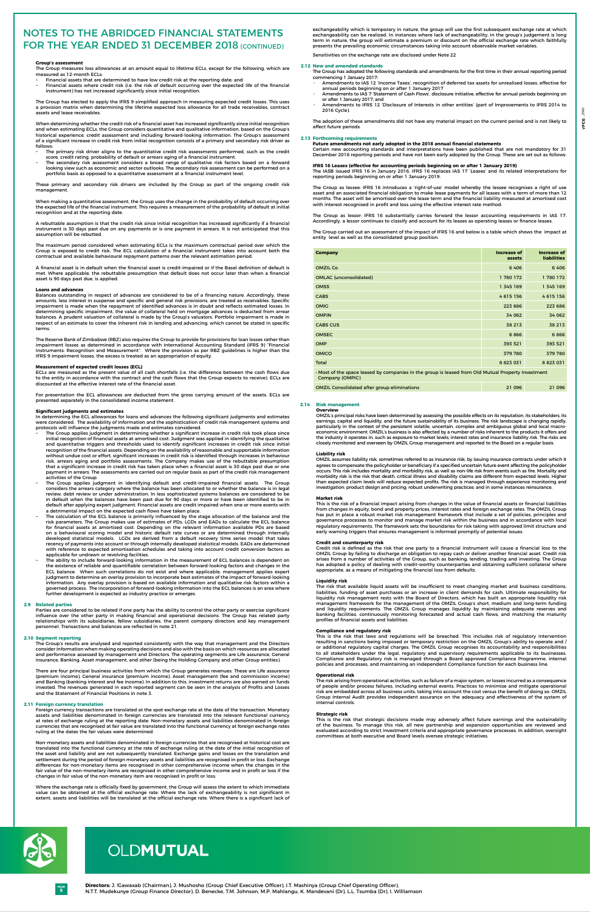**5**

**Directors:** J. !Gawaxab (Chairman), J. Mushosho (Group Chief Executive Officer), I.T. Mashinya (Group Chief Operating Officer), N.T.T. Mudekunye (Group Finance Director), D. Benecke, T.M. Johnson, M.P. Mahlangu, K. Mandevani (Dr), L.L. Tsumba (Dr), I. Williamson

**PAGE**

# OLDMUTUAL

# **Group's assessment**

- Financial assets that are determined to have low credit risk at the reporting date; and
- Financial assets where credit risk (i.e. the risk of default occurring over the expected life of the financial instrument) has not increased significantly since initial recognition.

The Group measures loss allowances at an amount equal to lifetime ECLs, except for the following, which are measured as 12-month ECLs:

The Group has elected to apply the IFRS 9 simplified approach in measuring expected credit losses. This uses a provision matrix when determining the lifetime expected loss allowance for all trade receivables, contract assets and lease receivables.

- The primary risk driver aligns to the quantitative credit risk assessments performed, such as the credit score, credit rating, probability of default or arrears aging of a financial instrument.
- The secondary risk assessment considers a broad range of qualitative risk factors based on a forward looking view such as economic and sector outlooks. The secondary risk assessment can be performed on a portfolio basis as opposed to a quantitative assessment at a financial instrument level.

When determining whether the credit risk of a financial asset has increased significantly since initial recognition and when estimating ECLs, the Group considers quantitative and qualitative information, based on the Group's historical experience, credit assessment and including forward-looking information. The Group's assessment of a significant increase in credit risk from initial recognition consists of a primary and secondary risk driver as follows:

 These primary and secondary risk drivers are included by the Group as part of the ongoing credit risk management.

When making a quantitative assessment, the Group uses the change in the probability of default occurring over the expected life of the financial instrument. This requires a measurement of the probability of default at initial recognition and at the reporting date.

A rebuttable assumption is that the credit risk since initial recognition has increased significantly if a financial instrument is 30 days past due on any payments or is one payment in arrears. It is not anticipated that this assumption will be rebutted.

The maximum period considered when estimating ECLs is the maximum contractual period over which the Group is exposed to credit risk. The ECL calculation of a financial instrument takes into account both the contractual and available behavioural repayment patterns over the relevant estimation period.

A financial asset is in default when the financial asset is credit-impaired or if the Basel definition of default is met. Where applicable, the rebuttable presumption that default does not occur later than when a financial asset is 90 days past due, is applied.

### **Loans and advances**

Balances outstanding in respect of advances are considered to be of a financing nature. Accordingly, these amounts, less interest in suspense and specific and general risk provisions, are treated as receivables. Specific impairment is made when the repayment of identified advances is in doubt and reflects estimated losses. In determining specific impairment, the value of collateral held on mortgage advances is deducted from arrear balances. A prudent valuation of collateral is made by the Group's valuators. Portfolio impairment is made in respect of an estimate to cover the inherent risk in lending and advancing, which cannot be stated in specific terms.

- The Group applies judgment in determining whether a significant increase in credit risk took place since initial recognition of financial assets at amortised cost. Judgment was applied in identifying the qualitative and quantitative triggers and thresholds used to identify significant increases in credit risk since initial recognition of the financial assets. Depending on the availability of reasonable and supportable information without undue cost or effort, significant increases in credit risk is identified through increases in behaviour risk, arrears aging and portfolio assessments. The Company makes use of the rebuttable presumption that a significant increase in credit risk has taken place when a financial asset is 30 days past due or one payment in arrears. The assessments are carried out on regular basis as part of the credit risk management activities of the Group.
- The Group applies judgment in identifying default and credit-impaired financial assets. The Group considers the arrears category where the balance has been allocated to or whether the balance is in legal review, debt review or under administration. In less sophisticated systems balances are considered to be in default when the balances have been past due for 90 days or more or have been identified to be in default after applying expert judgment. Financial assets are credit impaired when one or more events with a detrimental impact on the expected cash flows have taken place.
- The calculation of the ECL balance is primarily influenced by the stage allocation of the balance and the risk parameters. The Group makes use of estimates of PDs, LGDs and EADs to calculate the ECL balance for financial assets at amortised cost. Depending on the relevant information available PDs are based on a behavioural scoring model and historic default rate curves or are determined through internally developed statistical models. LGDs are derived from a default recovery time series model that takes recency of payments into account or through internally developed statistical models. EADs are determined with reference to expected amortisation schedules and taking into account credit conversion factors as applicable for undrawn or revolving facilities.
- − The ability to include forward-looking information in the measurement of ECL balances is dependent on the existence of reliable and quantifiable correlation between forward-looking factors and changes in the

The Reserve Bank of Zimbabwe (RBZ) also requires the Group to provide for provisions for loan losses rather than impairment losses as determined in accordance with International Accounting Standard (IFRS 9) "Financial Instruments: Recognition and Measurement". Where the provision as per RBZ guidelines is higher than the IFRS 9 impairment losses, the excess is treated as an appropriation of equity.

# **Measurement of expected credit losses (ECL)**

ECLs are measured as the present value of all cash shortfalls (i.e. the difference between the cash flows due to the entity in accordance with the contract and the cash flows that the Group expects to receive). ECLs are discounted at the effective interest rate of the financial asset.

For presentation the ECL allowances are deducted from the gross carrying amount of the assets. ECLs are presented separately in the consolidated income statement.

### **Significant judgments and estimates**

In determining the ECL allowances for loans and advances the following significant judgments and estimates were considered. The availability of information and the sophistication of credit risk management systems and protocols will influence the judgments made and estimates considered.

# Notes to the ABRIDGED financial statements FOR THE YEAR ENDED 31 DECEMBER 2018 (CONTINUED)

ost of the space leased by companies in the group is leased from Old Mutual Property Investment Company (OMPIC)

ECL balance. When such correlations do not exist and where applicable, management applies expert judgment to determine an overlay provision to incorporate best estimates of the impact of forward-looking information. Any overlay provision is based on available information and qualitative risk factors within a governed process. The incorporation of forward-looking information into the ECL balances is an area where further development is expected as industry practice or emerges.

# **2.9 Related parties**

Parties are considered to be related if one party has the ability to control the other party or exercise significant influence over the other party in making financial and operational decisions. The Group has related party relationships with its subsidiaries, fellow subsidiaries, the parent company directors and key management personnel. Transactions and balances are reflected in note 21.

# **2.10 Segment reporting**

The Group's results are analysed and reported consistently with the way that management and the Directors consider information when making operating decisions and also with the basis on which resources are allocated and performance assessed by management and Directors. The operating segments are Life assurance, General insurance, Banking, Asset management, and other (being the Holding Company and other Group entities).

There are four principal business activities from which the Group generates revenues. These are Life assurance (premium income), General insurance (premium income), Asset management (fee and commission income) and Banking (banking interest and fee income). In addition to this, investment returns are also earned on funds invested. The revenues generated in each reported segment can be seen in the analysis of Profits and Losses and the Statement of Financial Positions in note 3.

# **2.11 Foreign currency translation**

Foreign currency transactions are translated at the spot exchange rate at the date of the transaction. Monetary assets and liabilities denominated in foreign currencies are translated into the relevant functional currency at rates of exchange ruling at the reporting date. Non-monetary assets and liabilities denominated in foreign currencies that are recognised at fair value are translated into the functional currency at foreign exchange rates ruling at the dates the fair values were determined.

Non-monetary assets and liabilities denominated in foreign currencies that are recognised at historical cost are translated into the functional currency at the rate of exchange ruling at the date of the initial recognition of the asset and liability and are not subsequently translated. Exchange gains and losses on the translation and settlement during the period of foreign monetary assets and liabilities are recognised in profit or loss. Exchange differences for non-monetary items are recognised in other comprehensive income when the changes in the fair value of the non-monetary items are recognised in other comprehensive income and in profit or loss if the changes in fair value of the non-monetary item are recognised in profit or loss.

Where the exchange rate is officially fixed by government, the Group will assess the extent to which immediate value can be obtained at the official exchange rate. Where the lack of exchangeability is not significant in extent, assets and liabilities will be translated at the official exchange rate. Where there is a significant lack of exchangeability which is temporary in nature, the group will use the first subsequent exchange rate at which exchangeability can be realized. In instances where lack of exchangeability, in the group's judgement is long term in nature, the group will estimate a premium or discount on the official exchange rate which faithfully presents the prevailing economic circumstances taking into account observable market variables.

Sensitivities on the exchange rate are disclosed under Note 22

# **2.12 New and amended standards**

The Group has adopted the following standards and amendments for the first time in their annual reporting period commencing 1 January 2017:

- Amendments to IAS 12 'Income Taxes', recognition of deferred tax assets for unrealised losses, effective for annual periods beginning on or after 1 January 2017
- Amendments to IAS 7 'Statement of Cash Flows', disclosure initiative, effective for annual periods beginning on or after 1 January 2017; and
- Amendments to IFRS 12 'Disclosure of Interests in other entities' (part of Improvements to IFRS 2014 to 2016 Cycle).

The adoption of these amendments did not have any material impact on the current period and is not likely to affect future periods.

### **2.13 Forthcoming requirements**

# **Future amendments not early adopted in the 2018 annual financial statements**

Certain new accounting standards and interpretations have been published that are not mandatory for 31 December 2018 reporting periods and have not been early adopted by the Group. These are set out as follows:

# **IFRS 16 Leases (effective for accounting periods beginning on or after 1 January 2019)**

The IASB issued IFRS 16 in January 2016. IFRS 16 replaces IAS 17 'Leases' and its related interpretations for reporting periods beginning on or after 1 January 2019.

The Group as lessee: IFRS 16 introduces a 'right-of-use' model whereby the lessee recognises a right of use asset and an associated financial obligation to make lease payments for all leases with a term of more than 12 months. The asset will be amortised over the lease term and the financial liability measured at amortised cost with interest recognised in profit and loss using the effective interest rate method.

The Group as lessor: IFRS 16 substantially carries forward the lessor accounting requirements in IAS 17. Accordingly, a lessor continues to classify and account for its leases as operating leases or finance leases.

The Group carried out an assessment of the impact of IFRS 16 and below is a table which shows the impact at entity level as well as the consolidated group position.

| <b>Company</b>                                                                                     | <b>Increase of</b><br>assets | <b>Increase of</b><br><b>liabilities</b> |  |  |  |  |
|----------------------------------------------------------------------------------------------------|------------------------------|------------------------------------------|--|--|--|--|
| <b>OMZIL Co</b>                                                                                    | 6406                         | 6406                                     |  |  |  |  |
| <b>OMLAC</b> (unconsolidated)                                                                      | 1780 172                     | 1 780 172                                |  |  |  |  |
| <b>OMSS</b>                                                                                        | 1 345 169                    | 1 345 169                                |  |  |  |  |
| <b>CABS</b>                                                                                        | 4615156                      | 4615156                                  |  |  |  |  |
| <b>OMIG</b>                                                                                        | 223 686                      | 223 686                                  |  |  |  |  |
| <b>OMFIN</b>                                                                                       | 34 062                       | 34 062                                   |  |  |  |  |
| <b>CABS CUS</b>                                                                                    | 38 213                       | 38 213                                   |  |  |  |  |
| <b>OMSEC</b>                                                                                       | 6866                         | 6866                                     |  |  |  |  |
| <b>OMP</b>                                                                                         | 393 521                      | 393 521                                  |  |  |  |  |
| <b>OMICO</b>                                                                                       | 379 780                      | 379 780                                  |  |  |  |  |
| <b>Total</b>                                                                                       | 8 8 2 3 0 3 1                | 8 8 2 3 0 3 1                            |  |  |  |  |
| Most of the speed longed by companies in the quarter is longed from Old Mutual Dreporty Investment |                              |                                          |  |  |  |  |

| <b>OMZIL Consolidated after group eliminations</b> | 21 096 | 21 096 |
|----------------------------------------------------|--------|--------|
|                                                    |        |        |

# **2.14 Risk management Overview**

 OMZIL's principal risks have been determined by assessing the possible effects on its reputation, its stakeholders, its earnings, capital and liquidity, and the future sustainability of its business. The risk landscape is changing rapidly, particularly in the context of the persistent volatile, uncertain, complex and ambiguous global and local macroeconomic environment. OMZIL's business is also affected by a number of risks inherent to the products it offers and the industry it operates in, such as exposure to market levels, interest rates and insurance liability risk. The risks are closely monitored and overseen by OMZIL Group management and reported to the Board on a regular basis.

# **Liability risk**

 OMZIL assumes liability risk, sometimes referred to as insurance risk, by issuing insurance contracts under which it agrees to compensate the policyholder or beneficiary if a specified uncertain future event affecting the policyholder occurs. This risk includes mortality and morbidity risk, as well as non-life risk from events such as fire. Mortality and morbidity risk is the risk that death, critical illness and disability claims are different from expected levels. Higher than expected claim levels will reduce expected profits. The risk is managed through experience monitoring and investigation; product design and pricing; robust underwriting practices; and in some instances reinsurance.

### **Market risk**

 This is the risk of a financial impact arising from changes in the value of financial assets or financial liabilities from changes in equity, bond and property prices, interest rates and foreign exchange rates. The OMZIL Group has put in place a robust market risk management framework that include a set of policies, principles and governance processes to monitor and manage market risk within the business and in accordance with local regulatory requirements. The framework sets the boundaries for risk taking with approved limit structure and early warning triggers that ensures management is informed promptly of potential issues.

# **Credit and counterparty risk**

 Credit risk is defined as the risk that one party to a financial instrument will cause a financial loss to the OMZIL Group by failing to discharge an obligation to repay cash or deliver another financial asset. Credit risk arises from a number of activities of the Group, such as banking, lending, trading and investing. The Group has adopted a policy of dealing with credit-worthy counterparties and obtaining sufficient collateral where

appropriate, as a means of mitigating the financial loss from defaults.

# **Liquidity risk**

 The risk that available liquid assets will be insufficient to meet changing market and business conditions, liabilities, funding of asset purchases or an increase in client demands for cash. Ultimate responsibility for liquidity risk management rests with the Board of Directors, which has built an appropriate liquidity risk management framework for the management of the OMZIL Group's short, medium and long-term funding and liquidity requirements. The OMZIL Group manages liquidity by maintaining adequate reserves and banking facilities, continuously monitoring forecasted and actual cash flows, and matching the maturity profiles of financial assets and liabilities.

# **Compliance and regulatory risk**

 This is the risk that laws and regulations will be breached. This includes risk of regulatory intervention resulting in sanctions being imposed or temporary restriction on the OMZIL Group's ability to operate and / or additional regulatory capital charges. The OMZIL Group recognises its accountability and responsibilities to all stakeholders under the legal, regulatory and supervisory requirements applicable to its businesses. Compliance and Regulatory risk is managed through a Board approved Compliance Programme, internal policies and processes, and maintaining an independent Compliance function for each business line.

# **Operational risk**

 The risk arising from operational activities, such as failure of a major system, or losses incurred as a consequence of people and/or process failures, including external events. Practices to minimise and mitigate operational risk are embedded across all business units, taking into account the cost versus the benefit of doing so. OMZIL Group Internal Audit provides independent assurance on the adequacy and effectiveness of the system of internal controls.

# **Strategic risk**

 This is the risk that strategic decisions made may adversely affect future earnings and the sustainability of the business. To manage this risk, all new partnership and expansion opportunities are reviewed and evaluated according to strict investment criteria and appropriate governance processes. In addition, oversight committees at both executive and Board levels oversee strategic initiatives.

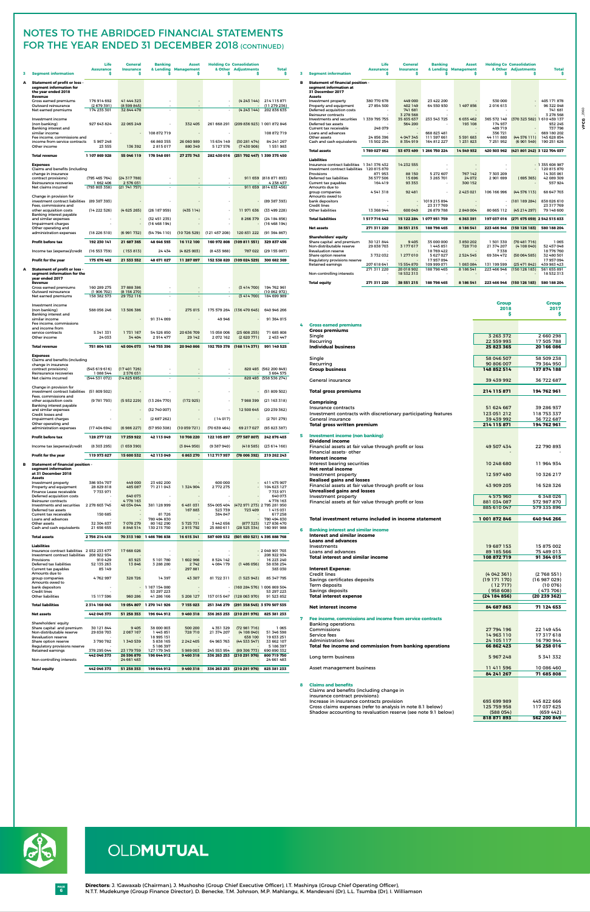**6 PAGE**

# OLDMUTUAL

|   |                                                                                                                            | Life<br><b>Assurance</b>                | General<br><b>Insurance</b>           | <b>Banking</b>                       | <b>Asset</b><br>& Lending Management |                            | <b>Holding Co Consolidation</b><br>& Other Adjustments | <b>Total</b>                                                   |   |
|---|----------------------------------------------------------------------------------------------------------------------------|-----------------------------------------|---------------------------------------|--------------------------------------|--------------------------------------|----------------------------|--------------------------------------------------------|----------------------------------------------------------------|---|
| 3 | <b>Segment information</b>                                                                                                 | Ś.                                      | \$                                    | Ś                                    | \$                                   | \$                         | \$                                                     | \$.                                                            | 3 |
| A | <b>Statement of profit or loss -</b><br>segment information for<br>the year ended 2018                                     |                                         |                                       |                                      |                                      |                            |                                                        |                                                                | в |
|   | Revenue<br>Gross earned premiums<br>Outward reinsurance<br>Net earned premiums                                             | 176 914 692<br>(2679391)<br>174 235 301 | 41 444 323<br>(8599845)<br>32 844 478 | ٠                                    | $\overline{\phantom{a}}$             |                            | (4 243 144)<br>(4243144)                               | 214 115 871<br>(11 279 236)<br>202 836 635                     |   |
|   | Investment income<br>(non banking)<br>Banking interest and                                                                 | 927 643 824                             | 22 065 249                            |                                      | 332 405                              | 261 668 291                |                                                        | (209 836 923) 1 001 872 846                                    |   |
|   | similar income<br>Fee income, commissions and<br>income from service contracts<br>Other income                             | $\sim$<br>5967248<br>23 555             | ÷<br>136 392                          | 108 872 719<br>66 860 355<br>2815017 | 26 060 989<br>880 349                | 15 634 149<br>5 127 576    | (30281474)<br>(7430906)                                | 108 872 719<br>84 241 267<br>1 551 983                         |   |
|   | <b>Total revenue</b>                                                                                                       | 1 107 869 928                           | 55 046 119                            | 178 548 091                          | 27 273 743                           | 282 430 016                |                                                        | (251 792 447) 1 399 375 450                                    |   |
|   |                                                                                                                            |                                         |                                       |                                      |                                      |                            |                                                        |                                                                |   |
|   | <b>Expenses</b><br>Claims and benefits (including<br>change in insurance<br>contract provisions)<br>Reinsurance recoveries | (795 465 764)<br>1 662 406              | (24317788)<br>2 576 031               | ÷.<br>÷.                             |                                      | ÷                          |                                                        | 911 659 (818 871 893)<br>4 238 437                             |   |
|   | Net claims incurred<br>Change in provision for                                                                             | (793 803 358)                           | (21741757)                            |                                      | $\overline{a}$                       | ÷.                         |                                                        | 911 659 (814 633 456)                                          |   |
|   | investment contract liabilities (89 387 393)<br>Fees, commissions and                                                      |                                         |                                       |                                      |                                      |                            |                                                        | (89 387 393)                                                   |   |
|   | other acquisition costs<br>Banking interest payable                                                                        | (14222526)                              | (4625265)                             | (26187959)                           | (435114)                             | ٠                          | 11971636                                               | (33 499 228)                                                   |   |
|   | and similar expenses<br>Impairment charges                                                                                 |                                         | $\overline{\phantom{a}}$              | (32451235)<br>(16468194)             |                                      |                            | 8 2 6 5 7 9                                            | (24184856)<br>(16468194)                                       |   |
|   | Other operating and<br>administration expenses                                                                             | (18226510)                              | (6991732)                             | (54794110)                           | (10726529)                           | (121457208)                | 120 831 222                                            | (91 364 867)                                                   |   |
|   | <b>Profit before tax</b>                                                                                                   | 192 230 141                             | 21 687 365                            | 48 646 593                           | 16 112 100                           | 160 972 808                | (109 811 551)                                          | 329 837 456                                                    |   |
|   | Income tax (expense)/credit                                                                                                | (16553739)                              | (153813)                              | 24 434                               | (4 825 003)                          | (8 433 988)                | 787 022                                                | (29155087)                                                     |   |
|   | Profit for the year                                                                                                        | 175 676 402                             | 21 533 552                            | 48 671 027                           | 11 287 097                           | 152 538 820                | (109 024 529)                                          | 300 682 369                                                    |   |
| A | <b>Statement of profit or loss -</b><br>segment information for the<br>year ended 2017                                     |                                         |                                       |                                      |                                      |                            |                                                        |                                                                |   |
|   | Revenue<br>Gross earned premiums                                                                                           | 160 289 275                             | 37 888 386                            | $\overline{\phantom{a}}$             | $\overline{a}$                       | ÷.                         | (3414700)                                              | 194 762 961                                                    |   |
|   | Outward reinsurance<br>Net earned premiums                                                                                 | (1 906 702)<br>158 382 573              | (8156270)<br>29 732 116               |                                      | ä,                                   |                            | (3414700)                                              | (10 062 972)<br>184 699 989                                    |   |
|   | Investment income<br>(non banking)                                                                                         | 588 056 246                             | 13 506 386                            |                                      | 275015                               | 175 579 264                | (136470645)                                            | 640 946 266                                                    |   |
|   | Banking interest and<br>similar income                                                                                     |                                         |                                       | 91 314 069                           |                                      | 49 946                     |                                                        | 91 364 015                                                     |   |
|   | Fee income, commissions<br>and income from<br>service contracts                                                            | 5341331                                 | 1731167                               | 54 526 850                           | 20 636 709                           | 15 058 006                 | (25608255)                                             | 71 685 808                                                     |   |
|   | Other income                                                                                                               | 24 033                                  | 34 404                                | 2914477                              | 29 142                               | 2072162                    | (2620771)                                              | 2 453 447                                                      |   |
|   | <b>Total revenue</b><br><b>Expenses</b>                                                                                    | 751 804 183                             | 45 004 073                            | 148 755 396                          | 20 940 866                           | 192 759 378                | (168 114 371)                                          | 991 149 525                                                    |   |
|   | Claims and benefits (including<br>change in insurance                                                                      |                                         |                                       |                                      |                                      |                            |                                                        |                                                                |   |
|   | contract provisions)<br>Reinsurance recoveries                                                                             | (545 619 616)<br>1 088 544              | (17401726)<br>2 576 031               | ٠                                    |                                      | ä,                         |                                                        | 820 493 (562 200 849)<br>3 664 575                             |   |
|   | Net claims incurred                                                                                                        | (544 531 072)                           | (14825695)                            |                                      | $\overline{\phantom{a}}$             |                            |                                                        | 820 493 (558 536 274)                                          |   |
|   | Change in provision for<br>investment contract liabilities (51 809 502)                                                    |                                         |                                       |                                      |                                      |                            |                                                        | (51 809 502)                                                   |   |
|   | Fees, commissions and<br>other acquisition costs                                                                           | (9781793)                               | (5932229)                             | (13264770)                           | (172925)                             |                            | 7988399                                                | (21163318)                                                     |   |
|   | Banking interest payable<br>and similar expenses                                                                           |                                         |                                       | (32 740 007)                         |                                      |                            | 12 500 645                                             | (20239362)                                                     |   |
|   | Credit losses and<br>impairment charges                                                                                    |                                         |                                       | (2687262)                            |                                      | (14017)                    |                                                        | (2701279)                                                      |   |
|   | Other operating and<br>administration expenses                                                                             | (17 404 694)                            | (6986227)                             | (57950308)                           | (10059721)                           | (70639464)                 | 69 217 027                                             | (93 823 387)                                                   |   |
|   | Profit before tax                                                                                                          | 128 277 122                             | 17 259 922                            | 42 113 049                           | 10708220                             | 122 105 897                | (77587807)                                             | 242 876 403                                                    | 5 |
|   | Income tax (expense)/credit                                                                                                | (8303295)                               | (1659390)                             |                                      | (3844950)                            | (9 387 940)                | (418585)                                               | (23614160)                                                     |   |
|   | Profit for the year                                                                                                        | 119 973 827                             | 15 600 532                            | 42 113 049                           | 6 863 270                            | 112717957                  | (78 006 392)                                           | 219 262 243                                                    |   |
| в | <b>Statement of financial position -</b>                                                                                   |                                         |                                       |                                      |                                      |                            |                                                        |                                                                |   |
|   | segment information<br>at 31 December 2018                                                                                 |                                         |                                       |                                      |                                      |                            |                                                        |                                                                |   |
|   | <b>Assets</b><br>Investment property<br>Property and equipment<br>Finance Lease receivable                                 | 386 934 707<br>28 829 818<br>7733971    | 449 000<br>485 087                    | 23 492 200<br>71 211 043             | 1 324 904                            | 600 000<br>2 772 275       |                                                        | 411 475 907<br>104 623 127<br>7 733 971                        |   |
|   | Deferred acquisition costs<br>Reinsurer contracts<br>Investments and securities<br>Deferred tax assets                     | 2 278 603 745                           | 640 073<br>4778163<br>48 034 044      | 381 128 999                          | 6 481 031<br>167883                  | 554 005 404<br>523 739     | 723 409                                                | 640 073<br>4 778 163<br>(472 971 273) 2 795 281 950<br>1415031 |   |
|   | Current tax receivable<br>Loans and advances                                                                               | 150 685                                 |                                       | 81726<br>780 494 830                 |                                      | 384847                     |                                                        | 617258<br>780 494 830                                          |   |
|   | Other assets<br>Cash and cash equivalents                                                                                  | 32 304 837<br>21 656 655                | 7078279<br>8848514                    | 80 162 290<br>130 215 750            | 5725731<br>2915792                   | 3 442 656<br>25 880 611    | (877323)<br>(28525334)                                 | 127 836 470<br>160 991 988                                     |   |
|   | <b>Total assets</b>                                                                                                        | 2756214418                              |                                       | 70 313 160 1 466 786 838             | 16615341                             | 587 609 532                |                                                        | (501 650 521) 4 395 888 768                                    | 6 |
|   | <b>Liabilities</b>                                                                                                         |                                         |                                       |                                      |                                      |                            |                                                        |                                                                |   |
|   | Insurance contract liabilities 2 032 233 677<br>Investment contract liabilities 208 922 934                                |                                         | 17 668 026                            |                                      |                                      |                            |                                                        | $-2049901703$<br>208 922 934                                   |   |
|   | Provisions<br>Deferred tax liabilities                                                                                     | 910429<br>52 135 263                    | 83 923<br>13846                       | 5 101 780<br>3 288 280               | 1602966<br>2742                      | 8 5 24 14 2<br>4084179     | (1486056)                                              | 16 223 240<br>58 038 254                                       |   |
|   | Current tax payables<br>Amounts due to                                                                                     | 85 149                                  |                                       |                                      | 297 881                              |                            |                                                        | 383 030                                                        |   |
|   | group companies<br>Amounts owed to<br>bank depositors                                                                      | 4762997                                 | 328726                                | 14397<br>1 167 154 080               | 43 307                               | 81 722 311                 | (1 523 943)                                            | 85 347 795<br>(160 284 576) 1 006 869 504                      |   |
|   | <b>Credit lines</b><br><b>Other liabilities</b>                                                                            | 15 117 596                              | 960 286                               | 53 297 223<br>41 286 166             | 5 208 127                            | 157 015 647                | (128063970)                                            | 53 297 223<br>91 523 852                                       |   |
|   | <b>Total liabilities</b>                                                                                                   | 2314168045                              |                                       | 19 054 807 1 270 141 926             | 7 155 023                            | 251 346 279                |                                                        | (291 358 545) 3 570 507 535                                    |   |
|   | <b>Net assets</b>                                                                                                          | 442 046 373                             | 51 258 353                            | 196 644 912                          | 9460318                              | 336 263 253                | (210291976)                                            | 825 381 233                                                    | 7 |
|   | Shareholders' equity<br>Share capital and premium                                                                          | 30 121 844                              | 9405                                  | 38 000 003                           | 500 200                              | 4 3 5 1 3 2 9              | (72981716)                                             | 1 0 6 5                                                        |   |
|   | Non-distributable reserve<br><b>Revaluation reserve</b>                                                                    | 29 838 703                              | 2 067 167                             | 1 445 851<br>18 995 151              | 728 710                              | 21 374 207                 | (4108040)<br>638 100                                   | 51 346 598<br>19 633 251                                       |   |
|   | Share option reserve<br>Regulatory provisions reserve                                                                      | 3790782                                 | 1 340 539                             | 5 838 165<br>5 186 397               | 2 2 4 2 4 0 5                        | 64 983 763                 | (44533547)                                             | 33 662 107<br>5 186 397                                        |   |
|   | <b>Retained earnings</b>                                                                                                   | 378 295 044<br>442 046 373              | 23 179 759<br>26 596 870              | 127 179 345<br>196 644 912           | 5989003<br>9460318                   | 245 553 954<br>336 263 253 | (89 306 773)<br>(210 291 976)                          | 690 890 332<br>800 719 750                                     |   |
|   | Non-controlling interests                                                                                                  |                                         | 24 661 483                            |                                      |                                      |                            |                                                        | 24 661 483                                                     |   |
|   | <b>Total equity</b>                                                                                                        | 442 046 373                             | 51 258 353                            | 196 644 912                          | 9460318                              | 336 263 253                | (210 291 976)                                          | 825 381 233                                                    |   |

# Notes to the ABRIDGED financial statements FOR THE YEAR ENDED 31 DECEMBER 2018 (CONTINUED)

|    |                                                                                         | <b>Group</b>           | <b>Group</b>           |
|----|-----------------------------------------------------------------------------------------|------------------------|------------------------|
|    |                                                                                         | 2018                   | 2017                   |
|    |                                                                                         | s                      | s                      |
| 4  | <b>Gross earned premiums</b><br><b>Gross premiums</b>                                   |                        |                        |
|    | Single                                                                                  | 3 263 372              | 2 660 298              |
|    | Recurring                                                                               | 22 559 993             | 17 505 788             |
|    | <b>Individual business</b>                                                              | 25 823 365             | 20 166 086             |
|    | Single                                                                                  | 58 046 507             | 58 509 238             |
|    | Recurring                                                                               | 90 806 007             | 79 364 950             |
|    | <b>Group business</b>                                                                   | 148 852 514            | 137874188              |
|    | <b>General insurance</b>                                                                | 39 439 992             | 36 722 687             |
|    | <b>Total gross premiums</b>                                                             | 214 115 871            | 194 762 961            |
|    | Comprising                                                                              |                        |                        |
|    | Insurance contracts                                                                     | 51 624 667             | 39 286 937             |
|    | Investment contracts with discretionary participating features                          | 123 051 212            | 118 753 337            |
|    | General insurance                                                                       | 39 439 992             | 36 722 687             |
|    | <b>Total gross written premium</b>                                                      | 214 115 871            | 194 762 961            |
| 5. | <b>Investment income (non banking)</b>                                                  |                        |                        |
|    | <b>Dividend income</b>                                                                  |                        |                        |
|    | Financial assets at fair value through profit or loss<br>Financial assets-other         | 49 507 434             | 22 790 893             |
|    | Interest income<br>Interest bearing securities                                          | 10 248 680             | 11 964 934             |
|    | <b>Net rental income</b>                                                                |                        |                        |
|    | Investment property                                                                     | 12 597 480             | 10326217               |
|    | <b>Realised gains and losses</b>                                                        |                        |                        |
|    | Financial assets at fair value through profit or loss                                   | 43 909 205             | 16 528 326             |
|    | <b>Unrealised gains and losses</b>                                                      |                        |                        |
|    | Investment property<br>Financial assets at fair value through profit or loss            | 4575960<br>881 034 087 | 6348026<br>572 987 870 |
|    |                                                                                         | 885 610 047            | 579 335 896            |
|    |                                                                                         |                        |                        |
|    | Total investment returns included in income statement                                   | 1 001 872 846          | 640 946 266            |
|    |                                                                                         |                        |                        |
| 6  | <b>Banking interest and similar income</b><br>Interest and similar income               |                        |                        |
|    | <b>Loans and advances</b>                                                               |                        |                        |
|    | Investments                                                                             | 19 687 153             | 15875002               |
|    | Loans and advances                                                                      | 89 185 566             | 75 489 013             |
|    | <b>Total interest and similar income</b>                                                | 108 872 719            | 91 364 015             |
|    | <b>Interest Expense:</b>                                                                |                        |                        |
|    | <b>Credit lines</b>                                                                     | (4042361)              | (2768551)              |
|    | Savings certificates deposits                                                           | (19171170)             | (16 987 029)           |
|    | Term deposits                                                                           | (12717)                | (10076)                |
|    | Savings deposits                                                                        | (958608)               | (473 706)              |
|    | <b>Total interest expense</b>                                                           | (24184856)             | (20 239 362)           |
|    | Net interest income                                                                     | 84 687 863             | 71 124 653             |
|    |                                                                                         |                        |                        |
| 7. | Fee income, commissions and income from service contracts<br><b>Banking operations:</b> |                        |                        |
|    | Commissions                                                                             | 27 794 196             | 22 149 454             |
|    | Service fees                                                                            | 14 963 110             | 17317618               |
|    | <b>Administration fees</b>                                                              | 24 105 117             | 16 790 944             |
|    | Total fee income and commission from banking operations                                 | 66 862 423             | 56 258 016             |
|    | Long term business                                                                      | 5967248                | 5 341 332              |
|    |                                                                                         |                        |                        |
|    | Asset management business                                                               | 11 411 596             | 10 086 460             |
|    |                                                                                         | 84 241 267             | 71 685 808             |
| 8  | <b>Claims and benefits</b>                                                              |                        |                        |
|    | Claims and benefits (including change in                                                |                        |                        |
|    | insurance contract provisions):                                                         |                        |                        |
|    | Increase in insurance contracts provision                                               | 693 699 989            | 445 822 666            |
|    | Gross claims expenses (refer to analysis in note 8.1 below)                             | 125 759 958            | 117 037 625            |
|    | Shadow accounting to revaluation reserve (see note 9.1 below)                           | (588054)               | (659 442)              |
|    |                                                                                         | 818 871 893            | 562 200 849            |



|   |                                              | Life             | General          | <b>Banking</b> | <b>Asset</b>             |             | <b>Holding Co Consolidation</b> |                 |
|---|----------------------------------------------|------------------|------------------|----------------|--------------------------|-------------|---------------------------------|-----------------|
|   |                                              | <b>Assurance</b> | <b>Insurance</b> |                | & Lending Management     |             | & Other Adjustments             | <b>Total</b>    |
| 3 | <b>Segment information</b>                   | \$               | \$               |                | Ś                        | Ś           | Ś                               | \$              |
| в | <b>Statement of financial position -</b>     |                  |                  |                |                          |             |                                 |                 |
|   | segment information at<br>31 December 2017   |                  |                  |                |                          |             |                                 |                 |
|   | <b>Assets</b>                                |                  |                  |                |                          |             |                                 |                 |
|   | Investment property                          | 380 770 678      | 449 000          | 23 422 200     |                          | 530 000     |                                 | 405 171 878     |
|   | Property and equipment                       | 27 854 500       | 402 149          | 64 550 930     | 1497856                  | 2016613     |                                 | 96 322 048      |
|   | Deferred acquisition costs                   |                  | 741 681          |                |                          |             |                                 | 741 681         |
|   | <b>Reinsurer contracts</b>                   |                  | 3 278 568        |                | $\overline{\phantom{a}}$ |             |                                 | 3 278 568       |
|   | Investments and securities                   | 1 339 795 755    | 35 835 637       | 233 543 725    | 6 035 462                | 365 572 140 | (370 323 582) 1 610 459 137     |                 |
|   | Deferred tax assets                          |                  | 564 200          |                | 193 108                  | 174 937     |                                 | 932 245         |
|   | Current tax receivable                       | 248 079          |                  |                |                          | 489719      |                                 | 737 798         |
|   | Loans and advances                           |                  |                  | 668 823 481    |                          | 356 721     |                                 | 669 180 202     |
|   | Other assets                                 | 24 856 396       | 4 0 4 7 3 4 5    | 111 597 661    | 5 591 683                | 44 111 880  | (44576111)                      | 145 628 854     |
|   | Cash and cash equivalents                    | 15 502 254       | 8 3 5 4 9 1 9    | 164812227      | 1 231 823                | 7 251 952   | (6901549)                       | 190 251 626     |
|   | <b>Total assets</b>                          | 1 789 027 662    | 53 673 499       | 1 266 750 224  | 14 549 932               | 420 503 962 | (421 801 242) 3 122 704 037     |                 |
|   | <b>Liabilities</b>                           |                  |                  |                |                          |             |                                 |                 |
|   | Insurance contract liabilities 1 341 376 432 |                  | 14 232 555       |                |                          |             |                                 | - 1 355 608 987 |
|   | Investment contract liabilities 120 815 870  |                  |                  |                |                          |             |                                 | 120 815 870     |
|   | Provisions                                   | 871953           | 88 150           | 5 272 607      | 767 142                  | 7303209     |                                 | 14 303 061      |
|   | Deferred tax liabilities                     | 36 577 506       | 15 696           | 3 265 701      | 24 072                   | 2 901 699   | (695365)                        | 42 089 309      |
|   | Current tax payables                         | 164419           | 93 353           |                | 300 152                  |             |                                 | 557924          |
|   | Amounts due to                               |                  |                  |                |                          |             |                                 |                 |
|   | group companies                              | 4541318          | 92 481           |                | 2 4 2 3 0 2 1            | 106 166 996 | (44576113)                      | 68 647 703      |
|   | Amounts owed to                              |                  |                  |                |                          |             |                                 |                 |
|   | bank depositors                              |                  |                  | 1019 215 894   |                          |             | (181189284)                     | 838 026 610     |
|   | <b>Credit lines</b>                          |                  |                  | 23 317 769     |                          |             |                                 | 23 317 769      |
|   | <b>Other liabilities</b>                     | 13 368 944       | 600 049          | 26 879 788     | 2 849 004                | 80 665 112  | (45214297)                      | 79 148 600      |
|   | <b>Total liabilities</b>                     | 1517716442       | 15 122 284       | 1077951759     | 6363391                  | 197 037 016 | (271 675 059) 2 542 515 833     |                 |
|   | <b>Net assets</b>                            | 271 311 220      | 38 551 215       | 188 798 465    | 8 186 541                | 223 466 946 | (150126183)                     | 580 188 204     |
|   | <b>Shareholders' equity</b>                  |                  |                  |                |                          |             |                                 |                 |
|   | Share capital and premium                    | 30 121 844       | 9405             | 35 000 000     | 3 850 202                | 1 501 330   | (70481716)                      | 1 0 6 5         |
|   | Non-distributable reserve                    | 29 838 703       | 3 177 617        | 1445851        | 728710                   | 21 374 207  | (4108040)                       | 52 457 048      |
|   | <b>Revaluation reserve</b>                   |                  |                  | 18 769 422     |                          | 7338        |                                 | 18 776 760      |
|   | Share option reserve                         | 3732032          | 1 277 010        | 5 627 027      | 2 5 2 4 5 4 5            | 69 384 472  | (50064585)                      | 32 480 501      |
|   | Regulatory provisions reserve                |                  |                  | 17957094       |                          |             |                                 | 17957094        |
|   | <b>Retained earnings</b>                     | 207 618 641      | 15 554 870       | 109 999 071    | 1 083 084                | 131 199 599 | (25471842)                      | 439 983 423     |
|   |                                              | 271 311 220      | 20 018 902       | 188 798 465    | 8 186 541                | 223 466 946 | (150126183)                     | 561 655 891     |
|   | Non-controlling interests                    |                  | 18532313         |                |                          |             |                                 | 18532313        |
|   | <b>Total equity</b>                          | 271 311 220      | 38 551 215       | 188 798 465    | 8186541                  | 223 466 946 | (150126183)                     | 580 188 204     |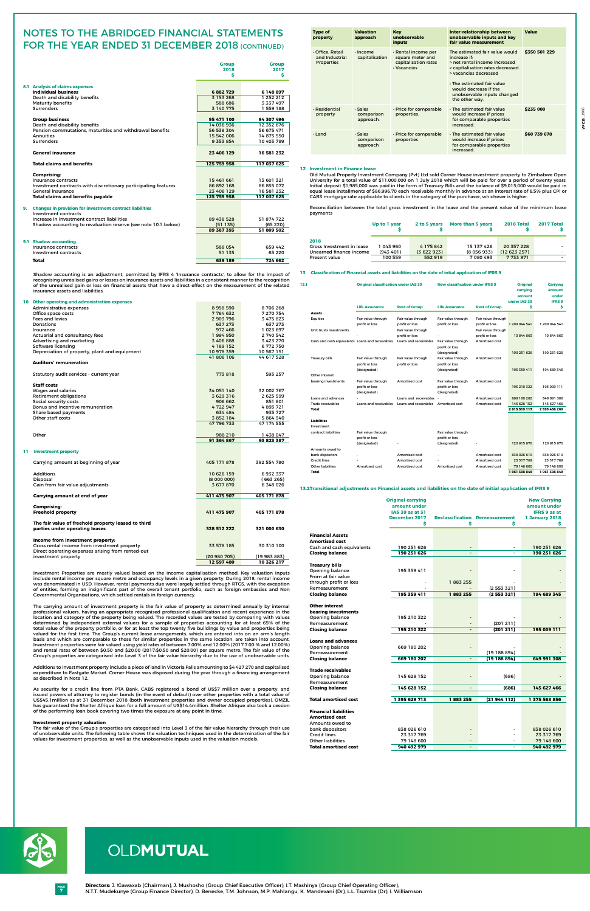**7 PAGE**

|     |                                                                                                                                                                                                       | <b>Group</b>              | <b>Group</b>              |
|-----|-------------------------------------------------------------------------------------------------------------------------------------------------------------------------------------------------------|---------------------------|---------------------------|
|     |                                                                                                                                                                                                       | 2018                      | 2017                      |
|     |                                                                                                                                                                                                       | s                         | s                         |
|     | <b>8.1 Analysis of claims expenses</b>                                                                                                                                                                |                           |                           |
|     | <b>Individual business</b>                                                                                                                                                                            | 6882729                   | 6 148 897                 |
|     | Death and disability benefits                                                                                                                                                                         | 3 153 268                 | 1 252 212                 |
|     | <b>Maturity benefits</b>                                                                                                                                                                              | 588 686                   | 3 337 497                 |
|     | <b>Surrenders</b>                                                                                                                                                                                     | 3 140 775                 | 1 559 188                 |
|     | <b>Group business</b>                                                                                                                                                                                 | 95 471 100                | 94 307 496                |
|     | Death and disability benefits                                                                                                                                                                         | 14 036 936                | 12 352 676                |
|     | Pension commutations, maturities and withdrawal benefits                                                                                                                                              | 56 538 304                | 56 675 471                |
|     | <b>Annuities</b>                                                                                                                                                                                      | 15 542 006                | 14 875 550                |
|     | <b>Surrenders</b>                                                                                                                                                                                     | 9 3 5 3 8 5 4             | 10 403 799                |
|     | <b>General insurance</b>                                                                                                                                                                              | 23 406 129                | 16 581 232                |
|     | <b>Total claims and benefits</b>                                                                                                                                                                      | 125 759 958               | 117 037 625               |
|     | <b>Comprising:</b>                                                                                                                                                                                    |                           |                           |
|     | Insurance contracts                                                                                                                                                                                   | 15 461 661                | 13 601 321                |
|     | Investment contracts with discretionary participating features                                                                                                                                        | 86 892 168                | 86 855 072                |
|     | General insurance<br><b>Total claims and benefits payable</b>                                                                                                                                         | 23 406 129<br>125 759 958 | 16 581 232<br>117 037 625 |
|     |                                                                                                                                                                                                       |                           |                           |
|     | 9. Changes in provision for investment contract liabilities                                                                                                                                           |                           |                           |
|     | Investment contracts                                                                                                                                                                                  |                           |                           |
|     | Increase in investment contract liabilities<br>Shadow accounting to revaluation reserve (see note 10.1 below)                                                                                         | 89 438 528<br>(51135)     | 51 874 722<br>(65220)     |
|     |                                                                                                                                                                                                       | 89 387 393                | 51 809 502                |
|     |                                                                                                                                                                                                       |                           |                           |
|     | 9.1 Shadow accounting                                                                                                                                                                                 |                           |                           |
|     | Insurance contracts                                                                                                                                                                                   | 588 054                   | 659 442                   |
|     | Investment contracts                                                                                                                                                                                  | 51 135                    | 65 2 20                   |
|     | Total                                                                                                                                                                                                 | 639 189                   | 724 662                   |
|     | of the unrealised gain or loss on financial assets that have a direct effect on the measurement of the related<br>insurance assets and liabilities.<br>10 Other operating and administration expenses |                           |                           |
|     | Administrative expenses                                                                                                                                                                               | 8958590                   | 8706268                   |
|     | Office space costs                                                                                                                                                                                    | 7 764 632                 | 7 270 754                 |
|     | Fees and levies                                                                                                                                                                                       | 2 903 796                 | 3 475 823                 |
|     | Donations<br>Insurance                                                                                                                                                                                | 637 273<br>972 466        | 637 273<br>1 023 697      |
|     | Actuarial and consultancy fees                                                                                                                                                                        | 1994950                   | 2 740 542                 |
|     | Advertising and marketing                                                                                                                                                                             | 3 406 888                 | 3 423 270                 |
|     | Software licensing                                                                                                                                                                                    | 4 189 152                 | 6 772 750                 |
|     | Depreciation of property, plant and equipment                                                                                                                                                         | 10 978 359<br>41 806 106  | 10 567 151<br>44 617 528  |
|     | <b>Auditors' remuneration</b>                                                                                                                                                                         |                           |                           |
|     | Statutory audit services - current year                                                                                                                                                               | 773818                    | 593 257                   |
|     |                                                                                                                                                                                                       |                           |                           |
|     | <b>Staff costs</b><br>Wages and salaries                                                                                                                                                              | 34 051 140                | 32 002 767                |
|     | Retirement obligations                                                                                                                                                                                | 3 629 316                 | 2 625 599                 |
|     | Social security costs                                                                                                                                                                                 | 906 662                   | 851 801                   |
|     | Bonus and incentive remuneration                                                                                                                                                                      | 4722947                   | 4893721                   |
|     | Share based payments<br>Other staff costs                                                                                                                                                             | 634 484<br>3 852 184      | 935 727<br>5 864 940      |
|     |                                                                                                                                                                                                       | 47 796 733                | 47 174 555                |
|     |                                                                                                                                                                                                       |                           |                           |
|     | Other                                                                                                                                                                                                 | 988 210<br>91 364 867     | 1438047<br>93 823 387     |
|     |                                                                                                                                                                                                       |                           |                           |
| 11. | <b>Investment property</b>                                                                                                                                                                            |                           |                           |
|     | Carrying amount at beginning of year                                                                                                                                                                  | 405 171 878               | 392 554 780               |
|     | <b>Additions</b>                                                                                                                                                                                      | 10 626 159                | 6932337                   |
|     | Disposal                                                                                                                                                                                              | (800000)                  | (663265)                  |
|     | Gain from fair value adjustments                                                                                                                                                                      | 3677870                   | 6348026                   |
|     | Carrying amount at end of year                                                                                                                                                                        | 411 475 907               | 405 171 878               |
|     | <b>Comprising:</b>                                                                                                                                                                                    |                           |                           |
|     | <b>Freehold property</b>                                                                                                                                                                              | 411 475 907               | 405 171 878               |
|     | The fair value of freehold property leased to third                                                                                                                                                   |                           |                           |
|     | parties under operating leases                                                                                                                                                                        | 328 512 222               | 321 000 630               |
|     | Income from investment property:                                                                                                                                                                      |                           |                           |
|     | Gross rental income from investment property                                                                                                                                                          | 33 578 185                | 30 310 100                |
|     | Direct operating expenses arising from rented-out<br>investment property                                                                                                                              | (20980705)                | (19 983 883)              |
|     |                                                                                                                                                                                                       | 12 597 480                | 10 326 217                |

Investment Properties are mostly valued based on the income capitalisation method. Key valuation inputs include rental income per square metre and occupancy levels in a given property. During 2018, rental income was denominated in USD. However, rental payments due were largely settled through RTGS, with the exception of entities, forming an insignificant part of the overall tenant portfolio, such as foreign embassies and Non Governmental Organisations, which settled rentals in foreign currency.

# Notes to the ABRIDGED financial statements FOR THE YEAR ENDED 31 DECEMBER 2018 (CONTINUED)

The carrying amount of investment property is the fair value of property as determined annually by internal professional valuers, having an appropriate recognised professional qualification and recent experience in the location and category of the property being valued. The recorded values are tested by comparing with values determined by independent external valuers for a sample of properties accounting for at least 65% of the total value of the property portfolio, or for at least the top twenty five buildings by value and properties being valued for the first time. The Group's current lease arrangements, which are entered into on an arm's length basis and which are comparable to those for similar properties in the same location, are taken into account. Investment properties were fair valued using yield rates of between 7.00% and 12.00% (2017:7.00 % and 12.00%) and rental rates of between \$0.50 and \$20.00 (2017:\$0.50 and \$20.00) per square metre. The fair value of the Group's properties are categorised into Level 3 of the fair value hierarchy due to the use of unobservable units.

Additions to investment property include a piece of land in Victoria Falls amounting to \$4 427 270 and capitalised expenditure to Eastgate Market. Corner House was disposed during the year through a financing arrangement as described in Note 12.

As security for a credit line from PTA Bank, CABS registered a bond of US\$7 million over a property, and issued powers of attorney to register bonds (in the event of default) over other properties with a total value of US\$45.1million as at 31 December 2018 (both investment properties and owner occupied properties). OMZIL has guaranteed the Shelter Afrique loan for a full amount of US\$14.4million. Shelter Afrique also took a cession of the performing loan book covering two times the exposure at any point in time.

# **Investment property valuation**

 The fair value of the Group's properties are categorised into Level 3 of the fair value hierarchy through their use of unobservable units. The following table shows the valuation techniques used in the determination of the fair values for investment properties, as well as the unobservable inputs used in the valuation models.

# **12 Investment in Finance lease**

 Old Mutual Property Investment Company (Pvt) Ltd sold Corner House investment property to Zimbabwe Open University for a total value of \$11,000,000 on 1 July 2018 which will be paid for over a period of twenty years. Initial deposit \$1,985,000 was paid in the form of Treasury Bills and the balance of \$9,015,000 would be paid in equal lease installments of \$86,996.70 each receivable monthly in advance at an interest rate of 6.5% plus CPI or CABS mortgage rate applicable to clients in the category of the purchaser, whichever is higher.

 Reconciliation between the total gross investment in the lease and the present value of the minimum lease payments

|                           | Up to 1 year | 2 to 5 years | More than 5 years | 2018 Total   | <b>2017 Total</b> |
|---------------------------|--------------|--------------|-------------------|--------------|-------------------|
| 2018                      |              |              |                   |              |                   |
| Gross Investment in lease | 1 043 960    | 4 175 842    | 15 137 426        | 20 357 228   | . .               |
| Unearned finance income   | (943, 401)   | (3622923)    | (8056933)         | (12 623 257) |                   |
| Present value             | 100 559      | 552919       | 7 080 493         | 7 733 971    |                   |

# **13.2Transitional adjustments on Financial assets and liabilities on the date of initial application of IFRS 9**

|                                                                                                         | <b>Original carrying</b><br>amount under<br>IAS 39 as at 31<br>December 2017 |   | <b>Reclassification Remeasurement</b> | <b>New Carrying</b><br>amount under<br><b>IFRS 9 as at</b><br><b>1 January 2018</b> |
|---------------------------------------------------------------------------------------------------------|------------------------------------------------------------------------------|---|---------------------------------------|-------------------------------------------------------------------------------------|
| <b>Financial Assets</b><br><b>Amortised cost</b><br>Cash and cash equivalents<br><b>Closing balance</b> | 190 251 626<br>190 251 626                                                   | - |                                       | 190 251 626<br>190 251 626                                                          |

**Treasury bills**

| Opening balance              | 195 359 411   |                |                |               |
|------------------------------|---------------|----------------|----------------|---------------|
| From at fair value           |               |                |                |               |
| through profit or loss       |               | 1883255        |                |               |
| Remeasurement                |               |                | (2553321)      |               |
| <b>Closing balance</b>       | 195 359 411   | 1883255        | (2553321)      | 194 689 345   |
| <b>Other interest</b>        |               |                |                |               |
| bearing investments          |               |                |                |               |
| Opening balance              | 195 210 322   |                |                |               |
| Remeasurement                |               |                | (201 211)      |               |
| <b>Closing balance</b>       | 195 210 322   |                | (201 211)      | 195 009 111   |
| <b>Loans and advances</b>    |               |                |                |               |
| Opening balance              | 669 180 202   |                |                |               |
| Remeasurement                |               |                | (19188894)     |               |
| <b>Closing balance</b>       | 669 180 202   |                | (19188894)     | 649 991 308   |
|                              |               |                |                |               |
| <b>Trade receivables</b>     |               |                |                |               |
| Opening balance              | 145 628 152   |                | (686)          |               |
| Remeasurement                |               |                |                |               |
| <b>Closing balance</b>       | 145 628 152   | $\blacksquare$ | (686)          | 145 627 466   |
|                              |               |                |                |               |
| <b>Total amortised cost</b>  | 1 395 629 713 | 1883255        | (21 944 112)   | 1 375 568 856 |
| <b>Financial liabilities</b> |               |                |                |               |
| <b>Amortised cost</b>        |               |                |                |               |
| Amounts owed to              |               |                |                |               |
| bank depositors              | 838 026 610   |                |                | 838 026 610   |
| <b>Credit lines</b>          | 23 317 769    |                |                | 23 317 769    |
| <b>Other liabilities</b>     | 79 148 600    |                |                | 79 148 600    |
| <b>Total amortised cost</b>  | 940 492 979   |                | $\blacksquare$ | 940 492 979   |



# OLDMUTUAL

# **13 Classification of Financial assets and liabilities on the date of intial application of IFRS 9**

| 13.1                                            | <b>Original classification under IAS 39</b><br><b>Life Assurance</b> | <b>Rest of Group</b>                    | <b>New classification under IFRS 9</b><br><b>Life Assurance</b> | <b>Rest of Group</b>                 | <b>Original</b><br>carrying<br>amount<br>under IAS 39<br>\$ | Carrying<br>amount<br>under<br><b>IFRS 9</b><br>\$ |
|-------------------------------------------------|----------------------------------------------------------------------|-----------------------------------------|-----------------------------------------------------------------|--------------------------------------|-------------------------------------------------------------|----------------------------------------------------|
| <b>Assets</b>                                   |                                                                      |                                         |                                                                 |                                      |                                                             |                                                    |
| <b>Equities</b>                                 | Fair value through<br>profit or loss                                 | Fair value through<br>profit or loss    | Fair value through<br>profit or loss                            | Fair value through<br>profit or loss | 1 209 044 541                                               | 1 209 044 541                                      |
| Unit trusts investments                         |                                                                      | Fair value through                      |                                                                 | Fair value through                   |                                                             |                                                    |
| Cash and cash equivalents Loans and receivables |                                                                      | profit or loss<br>Loans and receivables | Fair value through<br>profit or loss                            | profit or loss<br>Amortised cost     | 10 844 863                                                  | 10 844 863                                         |
|                                                 |                                                                      |                                         | (designated)                                                    |                                      | 190 251 626                                                 | 190 251 626                                        |
| <b>Treasury bills</b>                           | Fair value through<br>profit or loss<br>(designated)                 | Fair value through<br>profit or loss    | Fair value through<br>profit or loss<br>(designated)            | Amortised cost                       | 195 359 411                                                 | 194 689 345                                        |
| Other interest                                  |                                                                      |                                         |                                                                 |                                      |                                                             |                                                    |
| bearing investments                             | Fair value through<br>profit or loss<br>(designated)                 | Amortised cost                          | Fair value through<br>profit or loss<br>(designated)            | Amortised cost                       | 195 210 322                                                 | 195 009 111                                        |
| Loans and advances                              |                                                                      | Loans and receivables                   |                                                                 | <b>Amortised cost</b>                | 669 180 202                                                 | 649 991 308                                        |
| Trade receivables                               | Loans and receivables                                                | Loans and receivables                   | Amortised cost                                                  | Amortised cost                       | 145 628 152                                                 | 145 627 466                                        |
| <b>Total</b>                                    |                                                                      |                                         |                                                                 |                                      | 2615519117                                                  | 2 595 458 260                                      |
| <b>Liabilities</b><br>Investment                |                                                                      |                                         |                                                                 |                                      |                                                             |                                                    |
| contract liabilities                            | Fair value through<br>profit or loss<br>(designated)                 |                                         | Fair value through<br>profit or loss<br>(designated)            |                                      | 120 815 870                                                 | 120 815 870                                        |
| Amounts owed to                                 |                                                                      |                                         |                                                                 |                                      |                                                             |                                                    |
| bank depositors                                 |                                                                      | Amortised cost                          |                                                                 | Amortised cost                       | 838 026 610                                                 | 838 026 610                                        |
| <b>Credit lines</b>                             |                                                                      | <b>Amortised cost</b>                   |                                                                 | <b>Amortised cost</b>                | 23 317 769                                                  | 23 317 769                                         |
| <b>Other liabilities</b>                        | Amortised cost                                                       | Amortised cost                          | Amortised cost                                                  | Amortised cost                       | 79 148 600                                                  | 79 148 600                                         |
| Total                                           |                                                                      |                                         |                                                                 |                                      | 1 061 308 849                                               | 1061308849                                         |

| <b>Type of</b><br>property                              | <b>Valuation</b><br>approach       | <b>Key</b><br>unobservable<br>inputs                                           | Inter-relationship between<br>unobservable inputs and key<br>fair value measurement                                                                                                                                                                         | <b>Value</b>  |
|---------------------------------------------------------|------------------------------------|--------------------------------------------------------------------------------|-------------------------------------------------------------------------------------------------------------------------------------------------------------------------------------------------------------------------------------------------------------|---------------|
| · Office, Retail<br>and Industrial<br><b>Properties</b> | $\cdot$ Income<br>capitalisation   | · Rental income per<br>square meter and<br>capitalisation rates<br>· Vacancies | The estimated fair value would<br>increase if:<br>> net rental income increased<br>> capitalisation rates decreased.<br>> vacancies decreased<br>$\cdot$ The estimated fair value<br>would decrease if the<br>unobservable inputs changed<br>the other way. | \$350 501 229 |
| · Residential<br>property                               | . Sales<br>comparison<br>approach. | · Price for comparable<br>properties.                                          | $\cdot$ The estimated fair value<br>would increase if prices<br>for comparable properties<br>increased.                                                                                                                                                     | \$235 000     |
| $\cdot$ I and                                           | · Sales<br>comparison<br>approach  | · Price for comparable<br>properties                                           | . The estimated fair value<br>would increase if prices<br>for comparable properties<br>increased.                                                                                                                                                           | \$60 739 678  |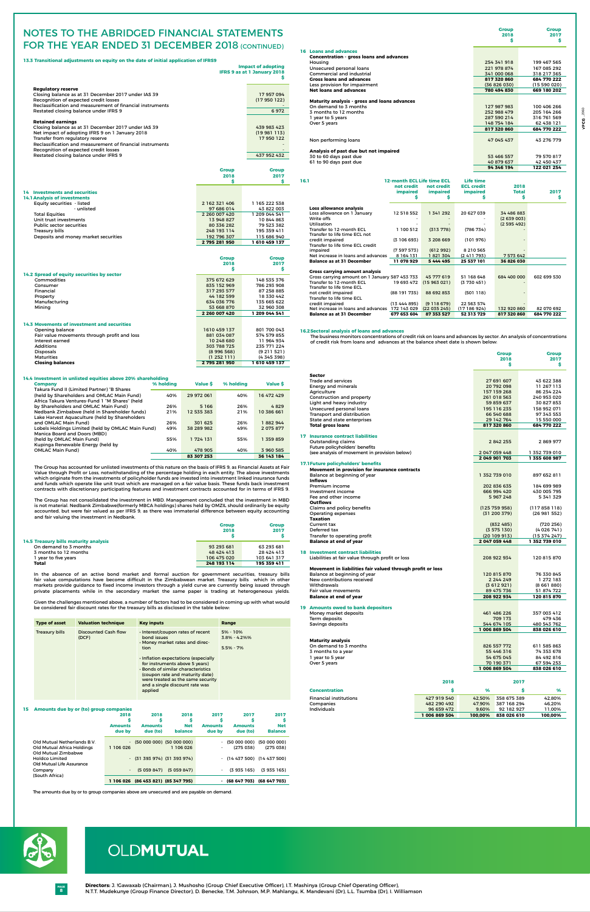**8 PAGE**

# OLDMUTUAL

**13.3 Transitional adjustments on equity on the date of initial application of IFRS9**

|                                                                                                                                                                                                                                                                                                                       |                             | <b>Impact of adopting</b><br><b>IFRS 9 as at 1 January 2018</b><br>Ś |
|-----------------------------------------------------------------------------------------------------------------------------------------------------------------------------------------------------------------------------------------------------------------------------------------------------------------------|-----------------------------|----------------------------------------------------------------------|
| <b>Regulatory reserve</b><br>Closing balance as at 31 December 2017 under IAS 39<br>Recognition of expected credit losses<br>Reclassification and measurement of financial instruments                                                                                                                                |                             | 17957094<br>(17950122)                                               |
| Restated closing balance under IFRS 9                                                                                                                                                                                                                                                                                 |                             | 6972                                                                 |
| <b>Retained earnings</b><br>Closing balance as at 31 December 2017 under IAS 39<br>Net impact of adopting IFRS 9 on 1 January 2018<br>Transfer from regulatory reserve<br>Reclassification and measurement of financial instruments<br>Recognition of expected credit losses<br>Restated closing balance under IFRS 9 |                             | 439 983 423<br>(19981113)<br>17950122<br>437 952 432                 |
|                                                                                                                                                                                                                                                                                                                       | <b>Group</b>                | <b>Group</b>                                                         |
|                                                                                                                                                                                                                                                                                                                       | 2018                        | 2017                                                                 |
|                                                                                                                                                                                                                                                                                                                       | Ś.                          | \$                                                                   |
| 14 Investments and securities<br><b>14.1 Analysis of investments</b>                                                                                                                                                                                                                                                  |                             |                                                                      |
| Equity securities - listed                                                                                                                                                                                                                                                                                            | 2 162 321 406               | 1 165 222 538                                                        |
| - unlisted                                                                                                                                                                                                                                                                                                            | 97 686 014                  | 43 822 003                                                           |
| <b>Total Equities</b><br>Unit trust investments                                                                                                                                                                                                                                                                       | 2 260 007 420<br>13 948 827 | 1 209 044 541                                                        |
| <b>Public sector securities</b>                                                                                                                                                                                                                                                                                       | 80 336 282                  | 10 844 863<br>79 523 382                                             |
| <b>Treasury bills</b>                                                                                                                                                                                                                                                                                                 | 248 193 114                 | 195 359 411                                                          |
| Deposits and money market securities                                                                                                                                                                                                                                                                                  | 192 796 307                 | 115 686 940                                                          |
|                                                                                                                                                                                                                                                                                                                       | 2 795 281 950               | 1610459137                                                           |
|                                                                                                                                                                                                                                                                                                                       | <b>Group</b>                | <b>Group</b>                                                         |
|                                                                                                                                                                                                                                                                                                                       | 2018<br>Ś.                  | 2017<br>Ŝ                                                            |
| 14.2 Spread of equity securities by sector                                                                                                                                                                                                                                                                            |                             |                                                                      |
| Commodities                                                                                                                                                                                                                                                                                                           | 375 672 629                 | 148 535 376                                                          |
| Consumer                                                                                                                                                                                                                                                                                                              | 835 152 969                 | 786 293 908                                                          |
| Financial                                                                                                                                                                                                                                                                                                             | 317 293 577                 | 87 258 885                                                           |
| Property<br>Manufacturing                                                                                                                                                                                                                                                                                             | 44 182 599<br>634 036 776   | 18 330 442<br>135 665 622                                            |
| Mining                                                                                                                                                                                                                                                                                                                | 53 668 870                  | 32 960 308                                                           |
|                                                                                                                                                                                                                                                                                                                       | 2 260 007 420               | 1 209 044 541                                                        |
|                                                                                                                                                                                                                                                                                                                       |                             |                                                                      |
| <b>14.3 Movements of investment and securities</b><br>Opening balance                                                                                                                                                                                                                                                 | 1610 459 137                | 801 700 043                                                          |
| Fair value movements through profit and loss                                                                                                                                                                                                                                                                          | 881 034 087                 | 574 579 855                                                          |
| Interest earned                                                                                                                                                                                                                                                                                                       | 10 248 680                  | 11 964 934                                                           |
| <b>Additions</b>                                                                                                                                                                                                                                                                                                      | 303 788 725                 | 235 771 224                                                          |
| <b>Disposals</b>                                                                                                                                                                                                                                                                                                      | (8 996 568)                 | (9 211 521)                                                          |
| <b>Maturities</b>                                                                                                                                                                                                                                                                                                     | (1252111)                   | (4 345 398)                                                          |
| <b>Closing balances</b>                                                                                                                                                                                                                                                                                               | 2 795 281 950               | 1610459137                                                           |

# **16.2Sectoral analysis of loans and advances**

The business monitors concentrations of credit risk on loans and advances by sector. An analysis of concentrations of credit risk from loans and advances at the balance sheet date is shown below:

|                                                            |               | <b>Group</b><br>2018           | <b>Group</b><br>2017           |
|------------------------------------------------------------|---------------|--------------------------------|--------------------------------|
|                                                            |               | s                              | s                              |
|                                                            |               |                                |                                |
| <b>Sector</b>                                              |               |                                |                                |
| <b>Trade and services</b>                                  |               | 27 691 607                     | 43 622 388                     |
| <b>Energy and minerals</b><br>Agriculture                  |               | 20 792 098<br>157 159 268      | 11 267 113<br>86 254 224       |
| Construction and property                                  |               | 261 018 563                    | 240 953 020                    |
| Light and heavy industry                                   |               | 59 859 637                     | 30 827 853                     |
| Unsecured personal loans                                   |               | 195 116 235                    | 158 952 071                    |
| Transport and distribution                                 |               | 66 540 688                     | 97 343 553                     |
| State and state enterprises                                |               | 29 142 764                     | 15 550 000                     |
| <b>Total gross loans</b>                                   |               | 817 320 860                    | 684 770 222                    |
|                                                            |               |                                |                                |
| <b>17 Insurance contract liabilities</b>                   |               |                                |                                |
| Outstanding claims                                         |               | 2 842 255                      | 2869977                        |
| Future policyholders' benefits                             |               |                                |                                |
| (see analysis of movement in provision below)              |               | 2 047 059 448<br>2 049 901 703 | 1 352 739 010<br>1 355 608 987 |
| <b>17.1 Future policyholders' benefits</b>                 |               |                                |                                |
| Movement in provision for insurance contracts              |               |                                |                                |
| Balance at beginning of year                               |               | 1 352 739 010                  | 897 652 811                    |
| <b>Inflows</b>                                             |               |                                |                                |
| Premium income                                             |               | 202 836 635                    | 184 699 989                    |
| Investment income                                          |               | 666 994 420                    | 430 005 795                    |
| Fee and other income                                       |               | 5967248                        | 5 341 329                      |
| <b>Outflows</b>                                            |               |                                |                                |
| Claims and policy benefits                                 |               | (125 759 958)                  | (117 858 118)                  |
| Operating expenses<br><b>Taxation</b>                      |               | (31 200 379)                   | (26981552)                     |
| <b>Current tax</b>                                         |               |                                |                                |
| Deferred tax                                               |               | (832 485)<br>(3575130)         | (720 256)<br>(4 026 741)       |
| Transfer to operating profit                               |               | (20109913)                     | (15 374 247)                   |
| <b>Balance at end of year</b>                              |               | 2 047 059 448                  | 1352739010                     |
|                                                            |               |                                |                                |
| <b>18 Investment contract liabilities</b>                  |               |                                |                                |
| Liabilities at fair value through profit or loss           |               | 208 922 934                    | 120 815 870                    |
|                                                            |               |                                |                                |
| Movement in liabilities fair valued through profit or loss |               |                                |                                |
| Balance at beginning of year<br>New contributions received |               | 120 815 870<br>2 244 249       | 76 330 845<br>1 272 183        |
| Withdrawals                                                |               | (3612921)                      | (8661880)                      |
| Fair value movements                                       |               | 89 475 736                     | 51 874 722                     |
| <b>Balance at end of year</b>                              |               | 208 922 934                    | 120 815 870                    |
|                                                            |               |                                |                                |
| 19 Amounts owed to bank depositors                         |               |                                |                                |
| Money market deposits                                      |               | 461 486 226                    | 357 003 412                    |
| Term deposits                                              |               | 709 173                        | 479 436                        |
| Savings deposits                                           |               | 544 674 105                    | 480 543 762                    |
|                                                            |               | 1 006 869 504                  | 838 026 610                    |
|                                                            |               |                                |                                |
| <b>Maturity analysis</b><br>On demand to 3 months          |               | 826 557 772                    | 611 585 863                    |
| 3 months to a year                                         |               | 55 446 316                     | 74 353 678                     |
| 1 year to 5 year                                           |               | 54 675 045                     | 84 492 816                     |
| Over 5 years                                               |               | 70 190 371                     | 67 594 253                     |
|                                                            |               | 1 006 869 504                  | 838 026 610                    |
|                                                            |               |                                |                                |
|                                                            | 2018          |                                | 2017                           |
|                                                            |               |                                |                                |
| <b>Concentration</b>                                       | \$            | %                              | \$.<br>%                       |
| <b>Financial institutions</b>                              | 427 919 540   | 42,50%<br>358 675 389          | 42,80%                         |
| Companies                                                  | 482 290 492   | 47,90%<br>387 168 294          | 46,20%                         |
| <b>Individuals</b>                                         | 96 659 472    | 9.60%<br>92 182 927            | 11,00%                         |
|                                                            | 1 006 869 504 | 838 026 610<br>100,00%         | 100,00%                        |

# Notes to the ABRIDGED financial statements FOR THE YEAR ENDED 31 DECEMBER 2018 (CONTINUED)

 **Group Group Contract of the Contract of the Contract of the Contract of Group Group 2018 2017**

|                                                                | <b>Group</b><br>2018 | <b>Group</b><br>2017 |  |
|----------------------------------------------------------------|----------------------|----------------------|--|
| 14.5 Treasury bills maturity analysis<br>On demand to 3 months | 93 293 681           | 63 293 681           |  |
| 3 months to 12 months                                          | 48 424 413           | 28 424 413           |  |
| 1 year to five years                                           | 106 475 020          | 103 641 317          |  |
| <b>Total</b>                                                   | 248 193 114          | 195 359 411          |  |

In the absence of an active bond market and formal auction for government securities, treasury bills fair value computations have become difficult in the Zimbabwean market. Treasury bills which in other markets provide guidance to fixed income investors through a yield curve are currently being issued through private placements while in the secondary market the same paper is trading at heterogeneous yields.

Given the challenges mentioned above, a number of factors had to be considered in coming up with what would be considered fair discount rates for the treasury bills as disclosed in the table below:

| <b>Type of asset</b>  | <b>Valuation technique</b>    | <b>Key inputs</b>                                                                                                                                                                                                                                                                                                                      | Range                                              |
|-----------------------|-------------------------------|----------------------------------------------------------------------------------------------------------------------------------------------------------------------------------------------------------------------------------------------------------------------------------------------------------------------------------------|----------------------------------------------------|
| <b>Treasury bills</b> | Discounted Cash flow<br>(DCF) | · Interest/coupon rates of recent<br>bond issues<br>· Money market rates and direc-<br>tion<br>· Inflation expectations (especially<br>for instruments above 5 years)<br>$\cdot$ Bonds of similar characteristics<br>(coupon rate and maturity date)<br>were treated as the same security<br>and a single discount rate was<br>applied | $5\% - 10\%$<br>$3.8\% - 4.2\%$ %<br>$5.5\% - 7\%$ |

| 16.1                                           | <b>12-month ECL Life time ECL</b><br>not credit<br><i>impaired</i><br>Ş | not credit<br><i>impaired</i><br>s | Life time<br><b>ECL credit</b><br><i>impaired</i><br>s | 2018<br><b>Total</b><br>\$ | 2017<br>\$  |
|------------------------------------------------|-------------------------------------------------------------------------|------------------------------------|--------------------------------------------------------|----------------------------|-------------|
| Loss allowance analysis                        |                                                                         |                                    |                                                        |                            |             |
| Loss allowance on 1 January                    | 12 518 552                                                              | 1 341 292                          | 20 627 039                                             | 34 486 883                 |             |
| Write offs                                     |                                                                         |                                    |                                                        | (2639003)                  |             |
| <b>Utilisation</b>                             |                                                                         |                                    |                                                        | (2595492)                  |             |
| Transfer to 12-month FCI                       | 1 100 512                                                               | (313778)                           | (786 734)                                              |                            |             |
| Transfer to life time ECL not                  |                                                                         |                                    |                                                        |                            |             |
| credit impaired                                | (3106693)                                                               | 3 208 669                          | (101976)                                               |                            |             |
| Transfer to life time ECL credit               |                                                                         |                                    |                                                        |                            |             |
| impaired                                       | (7597573)                                                               | (612992)                           | 8 210 565                                              |                            |             |
| Net increase in loans and advances             | 8 1 6 4 1 3 1                                                           | 1821304                            | (2411793)                                              | 7 573 642                  |             |
| <b>Balance as at 31 December</b>               | 11 078 929                                                              | 5444495                            | 25 537 101                                             | 36 826 030                 |             |
| <b>Gross carrying amount analysis</b>          |                                                                         |                                    |                                                        |                            |             |
| Gross carrying amount on 1 January 587 453 733 |                                                                         | 45 777 619                         | 51 168 648                                             | 684 400 000                | 602 699 530 |
| Transfer to 12-month FCL                       | 19 693 472                                                              | (15963021)                         | (3730451)                                              |                            |             |
| Transfer to life time ECL                      |                                                                         |                                    |                                                        |                            |             |
| not credit impaired                            | (88191735)                                                              | 88 692 853                         | (501118)                                               |                            |             |
| Transfer to life time FCL                      |                                                                         |                                    |                                                        |                            |             |
| credit impaired                                | (1344895)                                                               | (9118679)                          | 22 563 574                                             |                            |             |
| Net increase in loans and advances 172 143 029 |                                                                         | (22035245)                         | (17 186 924)                                           | 132 920 860                | 82 070 692  |
| <b>Balance as at 31 December</b>               | 677 653 604                                                             | 87 353 527                         | 52 313 729                                             | 817 320 860                | 684 770 222 |

# **14.4 Investment in unlisted equities above 20% shareholding**

| <b>Company</b>                                    | % holding | Value \$   | % holding | Value \$   |
|---------------------------------------------------|-----------|------------|-----------|------------|
| Takura Fund II (Limited Partner) "B Shares        |           |            |           |            |
| (held by Shareholders and OMLAC Main Fund)        | 40%       | 29 972 061 | 40%       | 16 472 429 |
| Africa Takura Ventures-Fund 1 "M Shares" (held    |           |            |           |            |
| by Shareholders and OMLAC Main Fund)              | 26%       | 5 1 6 6    | 26%       | 4829       |
| Nedbank Zimbabwe (held in Shareholder funds)      | 21%       | 12 535 383 | 21%       | 10 386 661 |
| Lake Harvest Aquaculture (held by Shareholders    |           |            |           |            |
| and OMLAC Main Fund)                              | 26%       | 301 625    | 26%       | 1882944    |
| Lobels Holdings Limited (held by OMLAC Main Fund) | 49%       | 38 289 982 | 49%       | 2 075 877  |
| Manica Board and Doors (MBD)                      |           |            |           |            |
| (held by OMLAC Main Fund)                         | 55%       | 1 724 131  | 55%       | 1 359 859  |
| Kupinga Renewable Energy (held by                 |           |            |           |            |
| <b>OMLAC Main Fund)</b>                           | 40%       | 478 905    | 40%       | 3960585    |
|                                                   |           | 83 307 253 |           | 36 143 184 |

The Group has accounted for unlisted investments of this nature on the basis of IFRS 9, as Financial Assets at Fair Value through Profit or Loss, notwithstanding of the percentage holding in each entity. The above investments which originate from the investments of policyholder funds are invested into investment linked insurance funds and funds which operate like unit trust which are managed on a fair value basis. These funds back investment contracts with discretionary participating features and investment contracts accounted for in terms of IFRS 9.

The Group has not consolidated the investment in MBD. Management concluded that the investment in MBD Ine Group has not consolidated the investment in most management conclusion and the ordinarily be equity<br>is not material. Nedbank Zimbabwe(formerly MBCA holdings) shares held by OMZIL should ordinarily accounting accounted, but were fair valued as per IFRS 9, as there was immaterial difference between equity accounting and fair valuing the investment in Nedbank.

|                                                     | \$           | \$          |
|-----------------------------------------------------|--------------|-------------|
| <b>16 Loans and advances</b>                        |              |             |
| <b>Concentration - gross loans and advances</b>     |              |             |
| Housing                                             | 254 341 918  | 199 467 565 |
| Unsecured personal loans                            | 221 978 874  | 167 085 292 |
| Commercial and industrial                           | 341 000 068  | 318 217 365 |
| <b>Gross loans and advances</b>                     | 817 320 860  | 684 770 222 |
| Less provision for impairment                       | (36 826 030) | (15590020)  |
| <b>Net loans and advances</b>                       | 780 494 830  | 669 180 202 |
| <b>Maturity analysis - gross and loans advances</b> |              |             |
| On demand to 3 months                               | 127 987 983  | 100 406 266 |
| 3 months to 12 months                               | 252 988 479  | 205 164 266 |
| 1 year to 5 years                                   | 287 590 214  | 316 761 569 |
| Over 5 years                                        | 148 754 184  | 62 438 121  |
|                                                     | 817 320 860  | 684 770 222 |
|                                                     |              |             |
| Non performing loans                                | 47 045 437   | 43 276 779  |
|                                                     |              |             |
| Analysis of past due but not impaired               |              |             |
| 30 to 60 days past due                              | 53 466 557   | 79 570 817  |
| 61 to 90 days past due                              | 40 879 637   | 42 450 437  |

 **94 346 194 122 021 254**

# **15 Amounts due by or (to) group companies**

|                                                                                  | 2018<br>Ş<br><b>Amounts</b><br>due by | 2018<br>s<br><b>Amounts</b><br>due (to) | 2018<br>Ş<br><b>Net</b><br><b>balance</b> | 2017<br><b>Amounts</b><br>due by | 2017<br><b>Amounts</b><br>due (to) | 2017<br><b>Net</b><br><b>Balance</b> |
|----------------------------------------------------------------------------------|---------------------------------------|-----------------------------------------|-------------------------------------------|----------------------------------|------------------------------------|--------------------------------------|
| Old Mutual Netherlands B.V.<br>Old Mutual Africa Holdings<br>Old Mutual Zimbabwe | $\sim$ $-$<br>1 106 026               |                                         | (50 000 000) (50 000 000)<br>1 106 026    | $\overline{a}$                   | $-$ (50 000 000)<br>(275038)       | (5000000)<br>(275038)                |
| <b>Holdco Limited</b><br>Old Mutual Life Assurance                               |                                       | $-$ (31 393 974) (31 393 974)           |                                           |                                  | $-$ (14 437 500) (14 437 500)      |                                      |
| Company                                                                          | $\sim$                                | (5059847)                               | (5059847)                                 | $\overline{\phantom{a}}$         | (3935165)                          | (3935165)                            |
| (South Africa)                                                                   | 1 106 026                             |                                         | (86 453 821) (85 347 795)                 |                                  | $-$ (68 647 703)                   | (68 647 703)                         |

The amounts due by or to group companies above are unsecured and are payable on demand.